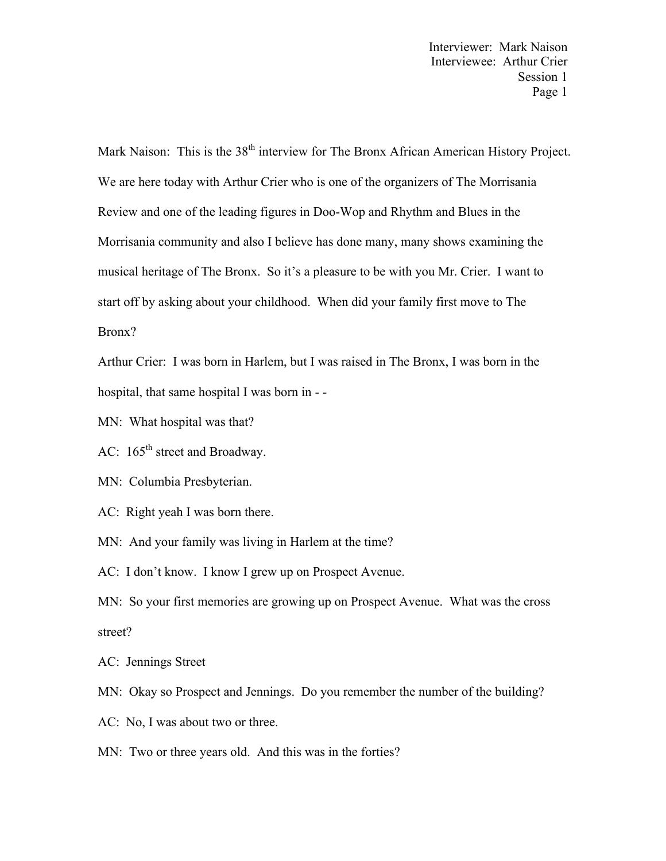Mark Naison: This is the 38<sup>th</sup> interview for The Bronx African American History Project. We are here today with Arthur Crier who is one of the organizers of The Morrisania Review and one of the leading figures in Doo-Wop and Rhythm and Blues in the Morrisania community and also I believe has done many, many shows examining the musical heritage of The Bronx. So it's a pleasure to be with you Mr. Crier. I want to start off by asking about your childhood. When did your family first move to The Bronx?

Arthur Crier: I was born in Harlem, but I was raised in The Bronx, I was born in the hospital, that same hospital I was born in - -

MN: What hospital was that?

AC:  $165^{\text{th}}$  street and Broadway.

MN: Columbia Presbyterian.

AC: Right yeah I was born there.

MN: And your family was living in Harlem at the time?

AC: I don't know. I know I grew up on Prospect Avenue.

MN: So your first memories are growing up on Prospect Avenue. What was the cross street?

AC: Jennings Street

MN: Okay so Prospect and Jennings. Do you remember the number of the building?

AC: No, I was about two or three.

MN: Two or three years old. And this was in the forties?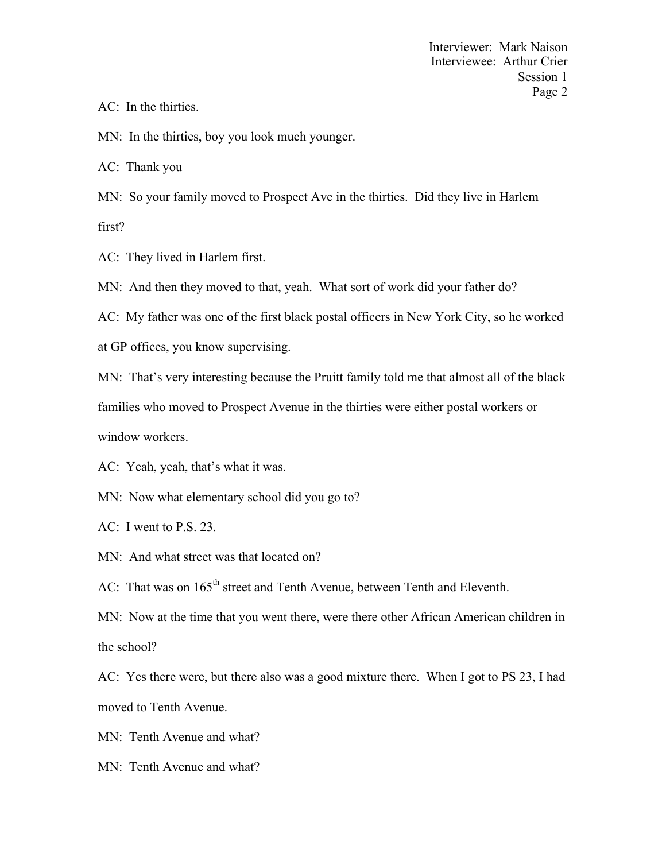AC: In the thirties.

MN: In the thirties, boy you look much younger.

AC: Thank you

MN: So your family moved to Prospect Ave in the thirties. Did they live in Harlem first?

AC: They lived in Harlem first.

MN: And then they moved to that, yeah. What sort of work did your father do?

AC: My father was one of the first black postal officers in New York City, so he worked

at GP offices, you know supervising.

MN: That's very interesting because the Pruitt family told me that almost all of the black

families who moved to Prospect Avenue in the thirties were either postal workers or

window workers.

AC: Yeah, yeah, that's what it was.

MN: Now what elementary school did you go to?

AC: I went to P.S. 23.

MN: And what street was that located on?

AC: That was on  $165<sup>th</sup>$  street and Tenth Avenue, between Tenth and Eleventh.

MN: Now at the time that you went there, were there other African American children in the school?

AC: Yes there were, but there also was a good mixture there. When I got to PS 23, I had moved to Tenth Avenue.

MN: Tenth Avenue and what?

MN: Tenth Avenue and what?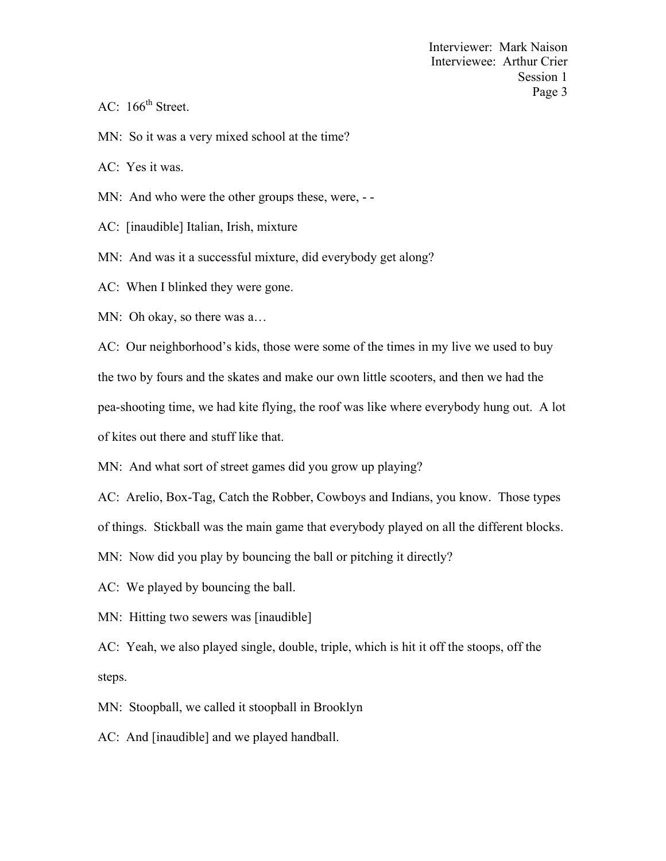- AC:  $166^{\text{th}}$  Street.
- MN: So it was a very mixed school at the time?

AC: Yes it was.

- MN: And who were the other groups these, were, --
- AC: [inaudible] Italian, Irish, mixture
- MN: And was it a successful mixture, did everybody get along?

AC: When I blinked they were gone.

MN: Oh okay, so there was a…

AC: Our neighborhood's kids, those were some of the times in my live we used to buy the two by fours and the skates and make our own little scooters, and then we had the pea-shooting time, we had kite flying, the roof was like where everybody hung out. A lot of kites out there and stuff like that.

MN: And what sort of street games did you grow up playing?

AC: Arelio, Box-Tag, Catch the Robber, Cowboys and Indians, you know. Those types

of things. Stickball was the main game that everybody played on all the different blocks.

MN: Now did you play by bouncing the ball or pitching it directly?

- AC: We played by bouncing the ball.
- MN: Hitting two sewers was [inaudible]

AC: Yeah, we also played single, double, triple, which is hit it off the stoops, off the steps.

MN: Stoopball, we called it stoopball in Brooklyn

AC: And [inaudible] and we played handball.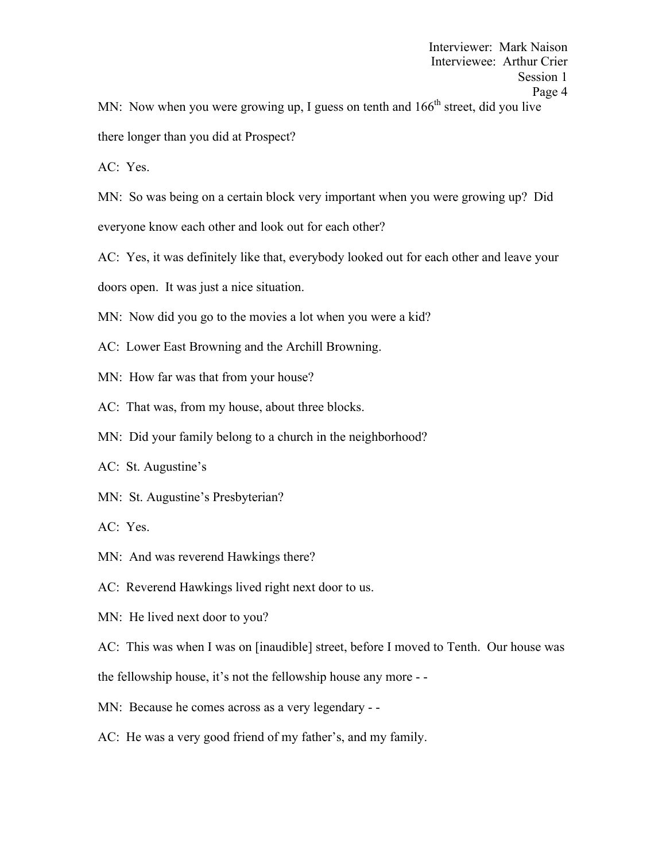MN: Now when you were growing up, I guess on tenth and  $166<sup>th</sup>$  street, did you live

there longer than you did at Prospect?

AC: Yes.

MN: So was being on a certain block very important when you were growing up? Did

everyone know each other and look out for each other?

AC: Yes, it was definitely like that, everybody looked out for each other and leave your

doors open. It was just a nice situation.

MN: Now did you go to the movies a lot when you were a kid?

AC: Lower East Browning and the Archill Browning.

- MN: How far was that from your house?
- AC: That was, from my house, about three blocks.
- MN: Did your family belong to a church in the neighborhood?
- AC: St. Augustine's
- MN: St. Augustine's Presbyterian?
- AC: Yes.
- MN: And was reverend Hawkings there?
- AC: Reverend Hawkings lived right next door to us.
- MN: He lived next door to you?

AC: This was when I was on [inaudible] street, before I moved to Tenth. Our house was

the fellowship house, it's not the fellowship house any more - -

- MN: Because he comes across as a very legendary -
- AC: He was a very good friend of my father's, and my family.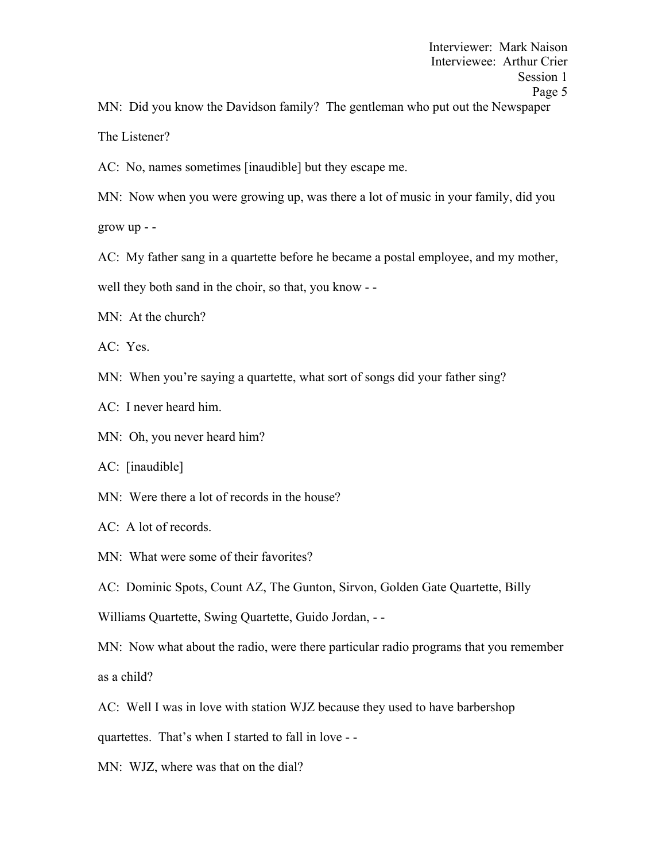MN: Did you know the Davidson family? The gentleman who put out the Newspaper The Listener?

AC: No, names sometimes [inaudible] but they escape me.

MN: Now when you were growing up, was there a lot of music in your family, did you grow up - -

AC: My father sang in a quartette before he became a postal employee, and my mother,

well they both sand in the choir, so that, you know - -

MN: At the church?

AC: Yes.

MN: When you're saying a quartette, what sort of songs did your father sing?

AC: I never heard him.

MN: Oh, you never heard him?

AC: [inaudible]

MN: Were there a lot of records in the house?

AC: A lot of records.

MN: What were some of their favorites?

AC: Dominic Spots, Count AZ, The Gunton, Sirvon, Golden Gate Quartette, Billy

Williams Quartette, Swing Quartette, Guido Jordan, - -

MN: Now what about the radio, were there particular radio programs that you remember as a child?

AC: Well I was in love with station WJZ because they used to have barbershop

quartettes. That's when I started to fall in love - -

MN: WJZ, where was that on the dial?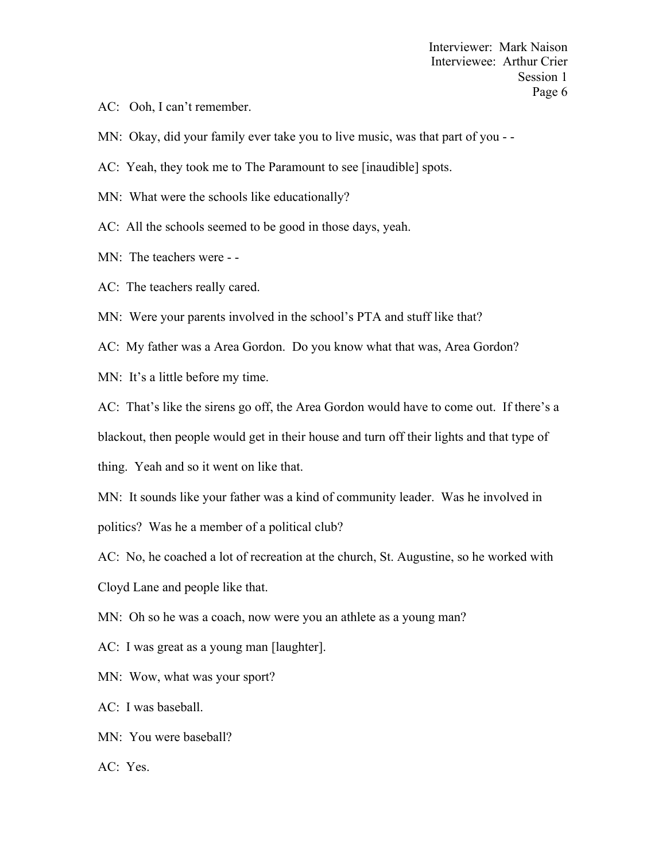- AC: Ooh, I can't remember.
- MN: Okay, did your family ever take you to live music, was that part of you -
- AC: Yeah, they took me to The Paramount to see [inaudible] spots.
- MN: What were the schools like educationally?
- AC: All the schools seemed to be good in those days, yeah.
- MN: The teachers were -
- AC: The teachers really cared.
- MN: Were your parents involved in the school's PTA and stuff like that?
- AC: My father was a Area Gordon. Do you know what that was, Area Gordon?
- MN: It's a little before my time.
- AC: That's like the sirens go off, the Area Gordon would have to come out. If there's a blackout, then people would get in their house and turn off their lights and that type of thing. Yeah and so it went on like that.
- MN: It sounds like your father was a kind of community leader. Was he involved in politics? Was he a member of a political club?
- AC: No, he coached a lot of recreation at the church, St. Augustine, so he worked with Cloyd Lane and people like that.
- MN: Oh so he was a coach, now were you an athlete as a young man?
- AC: I was great as a young man [laughter].
- MN: Wow, what was your sport?
- AC: I was baseball.
- MN: You were baseball?
- AC: Yes.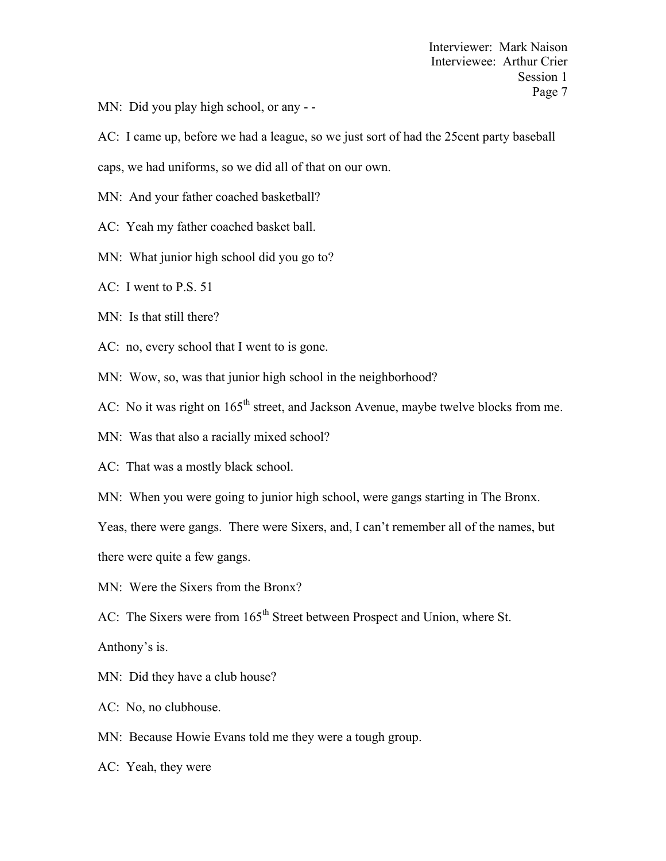MN: Did you play high school, or any --

AC: I came up, before we had a league, so we just sort of had the 25cent party baseball

caps, we had uniforms, so we did all of that on our own.

MN: And your father coached basketball?

AC: Yeah my father coached basket ball.

MN: What junior high school did you go to?

AC: I went to P.S. 51

MN: Is that still there?

AC: no, every school that I went to is gone.

MN: Wow, so, was that junior high school in the neighborhood?

AC: No it was right on 165<sup>th</sup> street, and Jackson Avenue, maybe twelve blocks from me.

MN: Was that also a racially mixed school?

AC: That was a mostly black school.

MN: When you were going to junior high school, were gangs starting in The Bronx.

Yeas, there were gangs. There were Sixers, and, I can't remember all of the names, but

there were quite a few gangs.

MN: Were the Sixers from the Bronx?

AC: The Sixers were from 165<sup>th</sup> Street between Prospect and Union, where St.

Anthony's is.

MN: Did they have a club house?

AC: No, no clubhouse.

MN: Because Howie Evans told me they were a tough group.

AC: Yeah, they were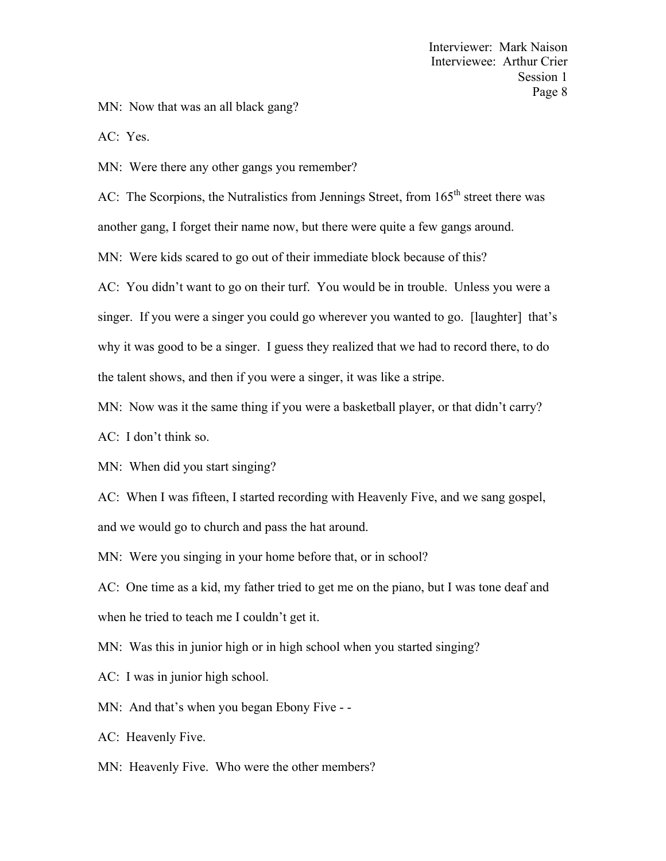MN: Now that was an all black gang?

AC: Yes.

MN: Were there any other gangs you remember?

AC: The Scorpions, the Nutralistics from Jennings Street, from 165<sup>th</sup> street there was

another gang, I forget their name now, but there were quite a few gangs around.

MN: Were kids scared to go out of their immediate block because of this?

AC: You didn't want to go on their turf. You would be in trouble. Unless you were a singer. If you were a singer you could go wherever you wanted to go. [laughter] that's why it was good to be a singer. I guess they realized that we had to record there, to do the talent shows, and then if you were a singer, it was like a stripe.

MN: Now was it the same thing if you were a basketball player, or that didn't carry?

AC: I don't think so.

MN: When did you start singing?

AC: When I was fifteen, I started recording with Heavenly Five, and we sang gospel, and we would go to church and pass the hat around.

MN: Were you singing in your home before that, or in school?

AC: One time as a kid, my father tried to get me on the piano, but I was tone deaf and when he tried to teach me I couldn't get it.

MN: Was this in junior high or in high school when you started singing?

AC: I was in junior high school.

MN: And that's when you began Ebony Five --

AC: Heavenly Five.

MN: Heavenly Five. Who were the other members?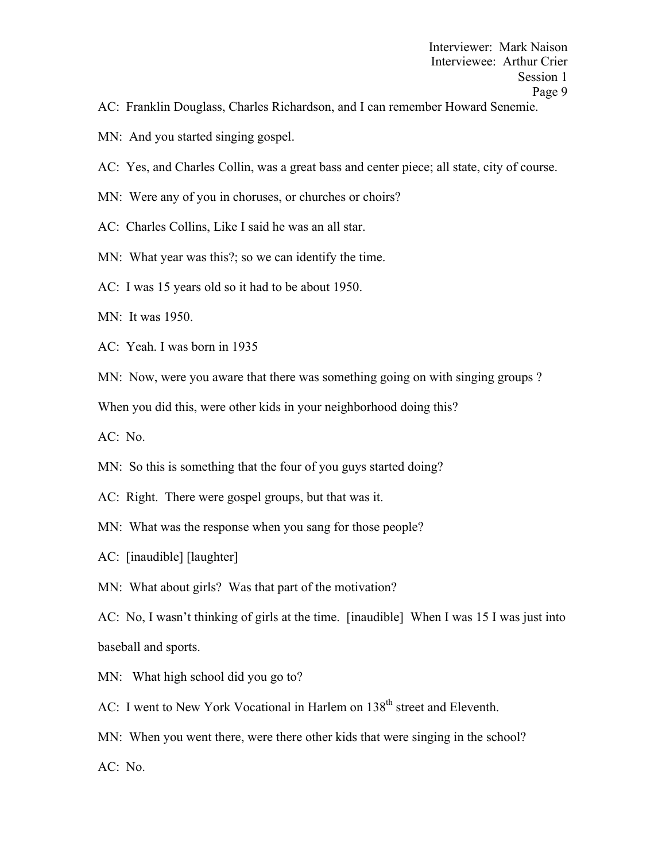- AC: Franklin Douglass, Charles Richardson, and I can remember Howard Senemie.
- MN: And you started singing gospel.
- AC: Yes, and Charles Collin, was a great bass and center piece; all state, city of course.
- MN: Were any of you in choruses, or churches or choirs?
- AC: Charles Collins, Like I said he was an all star.
- MN: What year was this?; so we can identify the time.
- AC: I was 15 years old so it had to be about 1950.
- MN: It was 1950.
- AC: Yeah. I was born in 1935
- MN: Now, were you aware that there was something going on with singing groups?

When you did this, were other kids in your neighborhood doing this?

AC: No.

- MN: So this is something that the four of you guys started doing?
- AC: Right. There were gospel groups, but that was it.
- MN: What was the response when you sang for those people?
- AC: [inaudible] [laughter]
- MN: What about girls? Was that part of the motivation?
- AC: No, I wasn't thinking of girls at the time. [inaudible] When I was 15 I was just into baseball and sports.
- MN: What high school did you go to?
- AC: I went to New York Vocational in Harlem on 138<sup>th</sup> street and Eleventh.
- MN: When you went there, were there other kids that were singing in the school? AC: No.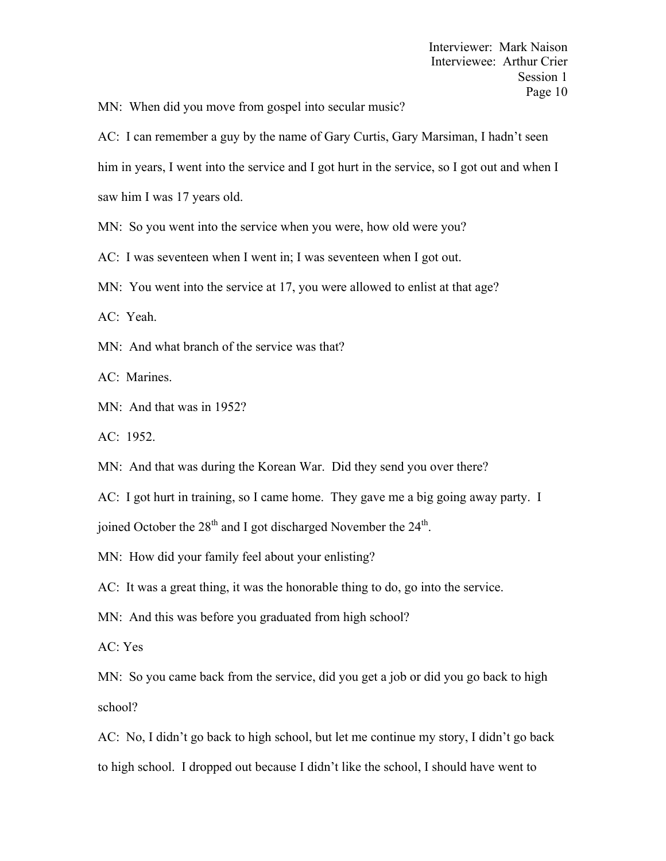MN: When did you move from gospel into secular music?

AC: I can remember a guy by the name of Gary Curtis, Gary Marsiman, I hadn't seen him in years, I went into the service and I got hurt in the service, so I got out and when I saw him I was 17 years old.

MN: So you went into the service when you were, how old were you?

AC: I was seventeen when I went in; I was seventeen when I got out.

MN: You went into the service at 17, you were allowed to enlist at that age?

AC: Yeah.

MN: And what branch of the service was that?

AC: Marines.

MN: And that was in 1952?

AC: 1952.

MN: And that was during the Korean War. Did they send you over there?

AC: I got hurt in training, so I came home. They gave me a big going away party. I

joined October the  $28<sup>th</sup>$  and I got discharged November the  $24<sup>th</sup>$ .

MN: How did your family feel about your enlisting?

AC: It was a great thing, it was the honorable thing to do, go into the service.

MN: And this was before you graduated from high school?

AC: Yes

MN: So you came back from the service, did you get a job or did you go back to high school?

AC: No, I didn't go back to high school, but let me continue my story, I didn't go back to high school. I dropped out because I didn't like the school, I should have went to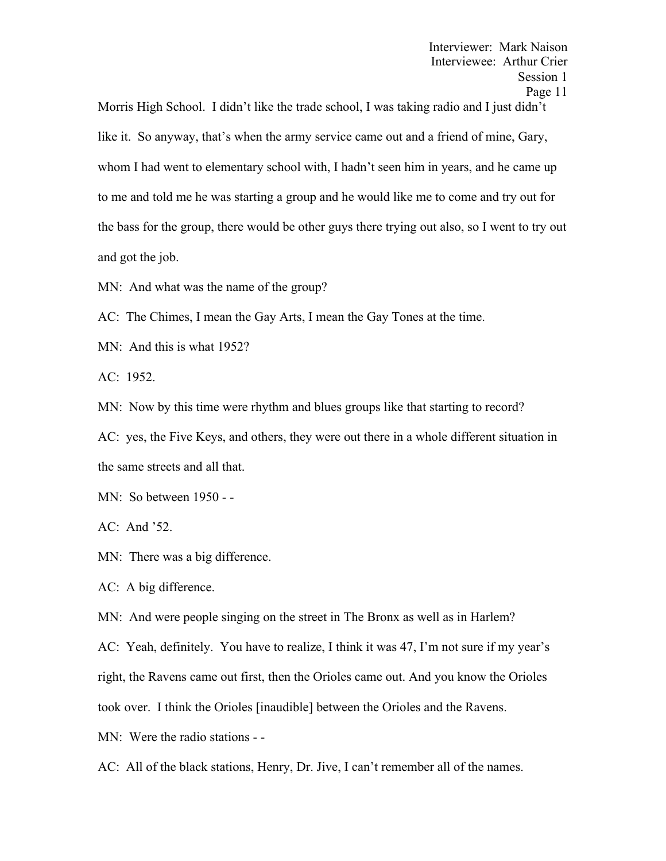Morris High School. I didn't like the trade school, I was taking radio and I just didn't like it. So anyway, that's when the army service came out and a friend of mine, Gary, whom I had went to elementary school with, I hadn't seen him in years, and he came up to me and told me he was starting a group and he would like me to come and try out for the bass for the group, there would be other guys there trying out also, so I went to try out and got the job.

MN: And what was the name of the group?

AC: The Chimes, I mean the Gay Arts, I mean the Gay Tones at the time.

MN: And this is what 1952?

AC: 1952.

MN: Now by this time were rhythm and blues groups like that starting to record?

AC: yes, the Five Keys, and others, they were out there in a whole different situation in the same streets and all that.

MN: So between 1950 - -

AC: And '52.

MN: There was a big difference.

AC: A big difference.

MN: And were people singing on the street in The Bronx as well as in Harlem?

AC: Yeah, definitely. You have to realize, I think it was 47, I'm not sure if my year's

right, the Ravens came out first, then the Orioles came out. And you know the Orioles

took over. I think the Orioles [inaudible] between the Orioles and the Ravens.

MN: Were the radio stations - -

AC: All of the black stations, Henry, Dr. Jive, I can't remember all of the names.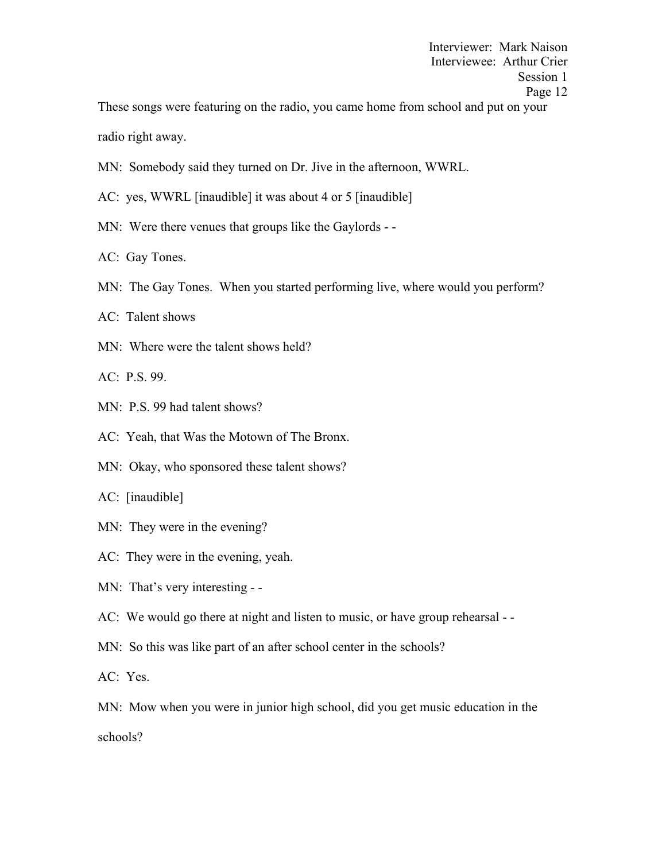These songs were featuring on the radio, you came home from school and put on your radio right away.

- MN: Somebody said they turned on Dr. Jive in the afternoon, WWRL.
- AC: yes, WWRL [inaudible] it was about 4 or 5 [inaudible]
- MN: Were there venues that groups like the Gaylords -
- AC: Gay Tones.
- MN: The Gay Tones. When you started performing live, where would you perform?
- AC: Talent shows
- MN: Where were the talent shows held?
- AC: P.S. 99.
- MN: P.S. 99 had talent shows?
- AC: Yeah, that Was the Motown of The Bronx.
- MN: Okay, who sponsored these talent shows?
- AC: [inaudible]
- MN: They were in the evening?
- AC: They were in the evening, yeah.
- MN: That's very interesting -

AC: We would go there at night and listen to music, or have group rehearsal - -

- MN: So this was like part of an after school center in the schools?
- AC: Yes.

MN: Mow when you were in junior high school, did you get music education in the

schools?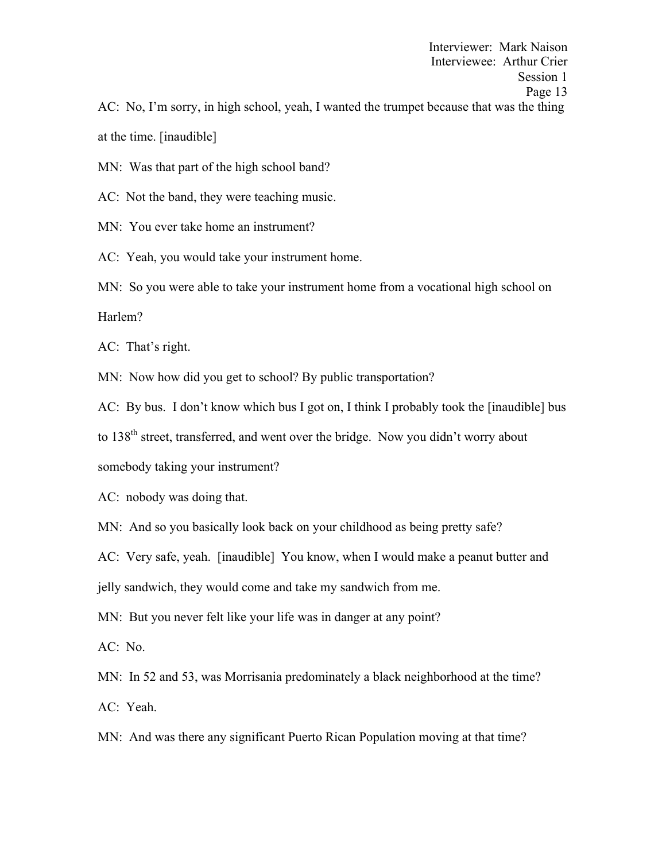Interviewer: Mark Naison Interviewee: Arthur Crier Session 1 Page 13 AC: No, I'm sorry, in high school, yeah, I wanted the trumpet because that was the thing at the time. [inaudible]

MN: Was that part of the high school band?

AC: Not the band, they were teaching music.

MN: You ever take home an instrument?

AC: Yeah, you would take your instrument home.

MN: So you were able to take your instrument home from a vocational high school on Harlem?

AC: That's right.

MN: Now how did you get to school? By public transportation?

AC: By bus. I don't know which bus I got on, I think I probably took the [inaudible] bus

to  $138<sup>th</sup>$  street, transferred, and went over the bridge. Now you didn't worry about

somebody taking your instrument?

AC: nobody was doing that.

MN: And so you basically look back on your childhood as being pretty safe?

AC: Very safe, yeah. [inaudible] You know, when I would make a peanut butter and

jelly sandwich, they would come and take my sandwich from me.

MN: But you never felt like your life was in danger at any point?

AC: No.

MN: In 52 and 53, was Morrisania predominately a black neighborhood at the time? AC: Yeah.

MN: And was there any significant Puerto Rican Population moving at that time?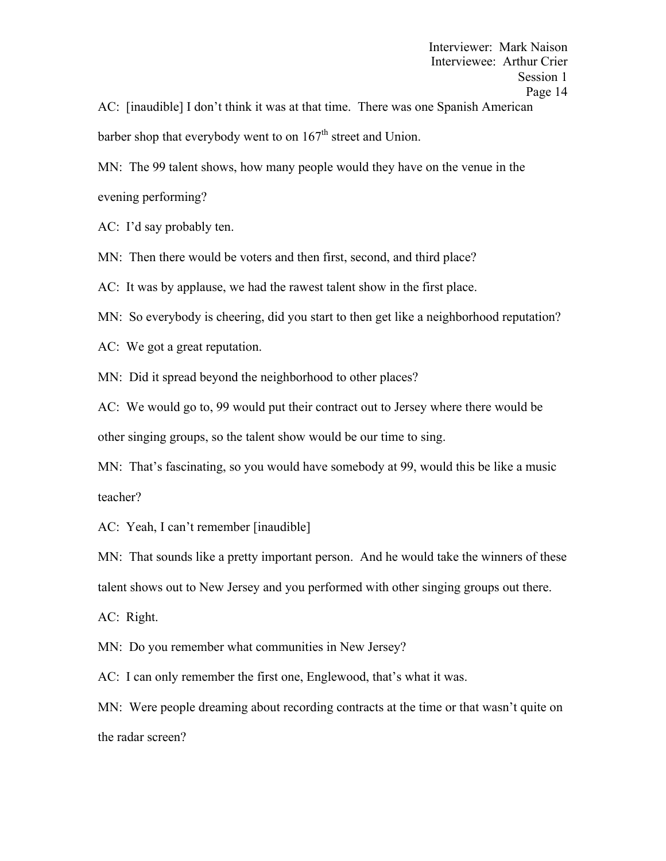AC: [inaudible] I don't think it was at that time. There was one Spanish American barber shop that everybody went to on  $167<sup>th</sup>$  street and Union.

MN: The 99 talent shows, how many people would they have on the venue in the evening performing?

AC: I'd say probably ten.

MN: Then there would be voters and then first, second, and third place?

AC: It was by applause, we had the rawest talent show in the first place.

MN: So everybody is cheering, did you start to then get like a neighborhood reputation?

AC: We got a great reputation.

MN: Did it spread beyond the neighborhood to other places?

AC: We would go to, 99 would put their contract out to Jersey where there would be other singing groups, so the talent show would be our time to sing.

MN: That's fascinating, so you would have somebody at 99, would this be like a music teacher?

AC: Yeah, I can't remember [inaudible]

MN: That sounds like a pretty important person. And he would take the winners of these talent shows out to New Jersey and you performed with other singing groups out there.

AC: Right.

MN: Do you remember what communities in New Jersey?

AC: I can only remember the first one, Englewood, that's what it was.

MN: Were people dreaming about recording contracts at the time or that wasn't quite on the radar screen?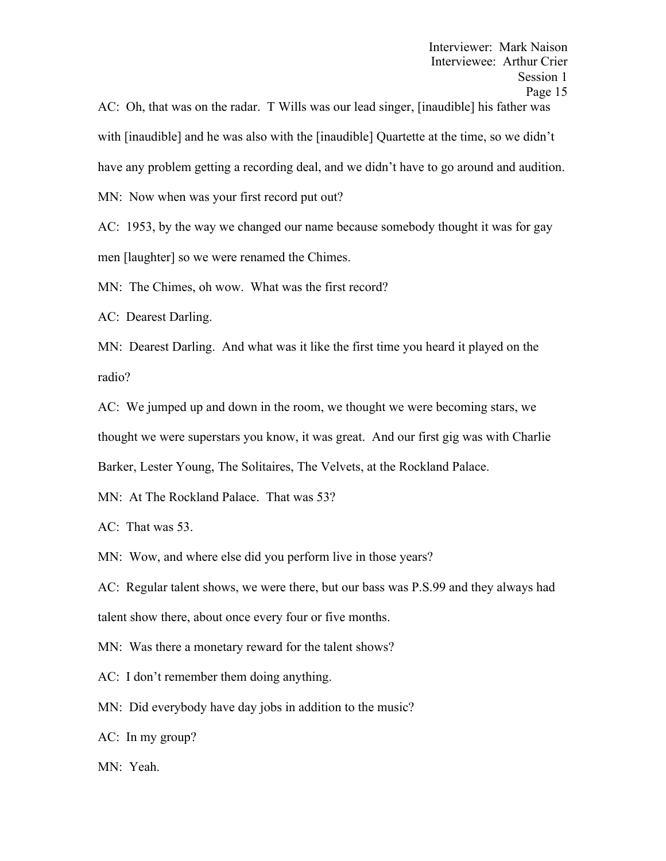AC: Oh, that was on the radar. T Wills was our lead singer, [inaudible] his father was with [inaudible] and he was also with the [inaudible] Quartette at the time, so we didn't have any problem getting a recording deal, and we didn't have to go around and audition. MN: Now when was your first record put out?

AC: 1953, by the way we changed our name because somebody thought it was for gay men [laughter] so we were renamed the Chimes.

MN: The Chimes, oh wow. What was the first record?

AC: Dearest Darling.

MN: Dearest Darling. And what was it like the first time you heard it played on the radio?

AC: We jumped up and down in the room, we thought we were becoming stars, we thought we were superstars you know, it was great. And our first gig was with Charlie Barker, Lester Young, The Solitaires, The Velvets, at the Rockland Palace.

MN: At The Rockland Palace. That was 53?

AC: That was 53.

MN: Wow, and where else did you perform live in those years?

AC: Regular talent shows, we were there, but our bass was P.S.99 and they always had talent show there, about once every four or five months.

MN: Was there a monetary reward for the talent shows?

AC: I don't remember them doing anything.

MN: Did everybody have day jobs in addition to the music?

AC: In my group?

MN: Yeah.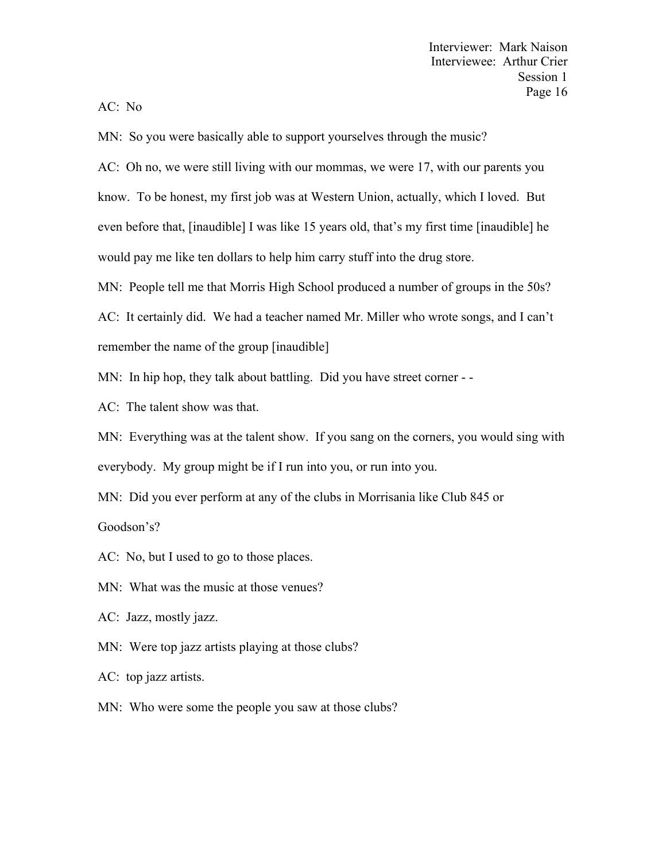AC: No

MN: So you were basically able to support yourselves through the music?

AC: Oh no, we were still living with our mommas, we were 17, with our parents you know. To be honest, my first job was at Western Union, actually, which I loved. But even before that, [inaudible] I was like 15 years old, that's my first time [inaudible] he would pay me like ten dollars to help him carry stuff into the drug store.

MN: People tell me that Morris High School produced a number of groups in the 50s?

AC: It certainly did. We had a teacher named Mr. Miller who wrote songs, and I can't remember the name of the group [inaudible]

MN: In hip hop, they talk about battling. Did you have street corner - -

AC: The talent show was that.

MN: Everything was at the talent show. If you sang on the corners, you would sing with everybody. My group might be if I run into you, or run into you.

MN: Did you ever perform at any of the clubs in Morrisania like Club 845 or

Goodson's?

AC: No, but I used to go to those places.

MN: What was the music at those venues?

AC: Jazz, mostly jazz.

MN: Were top jazz artists playing at those clubs?

AC: top jazz artists.

MN: Who were some the people you saw at those clubs?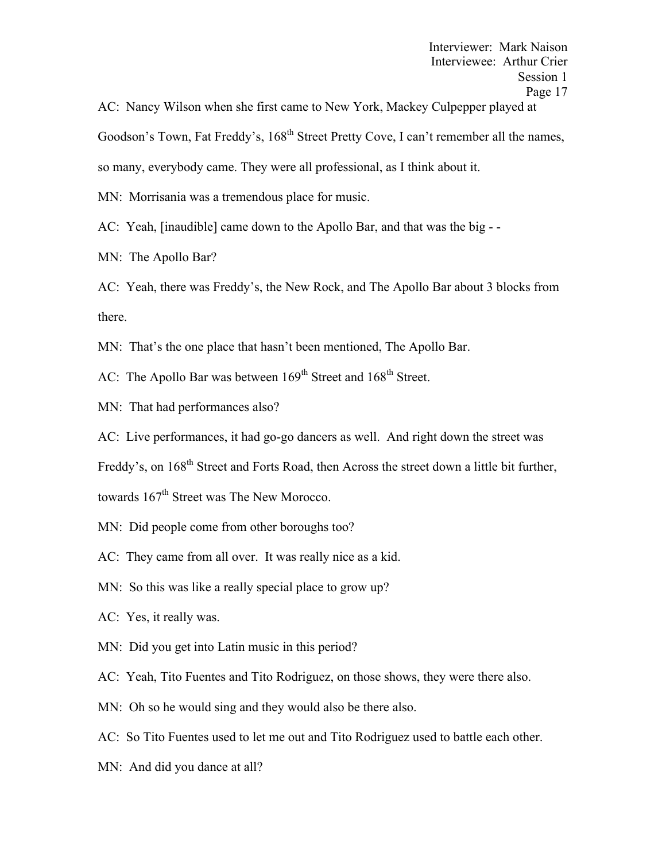AC: Nancy Wilson when she first came to New York, Mackey Culpepper played at Goodson's Town, Fat Freddy's, 168<sup>th</sup> Street Pretty Cove, I can't remember all the names, so many, everybody came. They were all professional, as I think about it.

MN: Morrisania was a tremendous place for music.

AC: Yeah, [inaudible] came down to the Apollo Bar, and that was the big - -

MN: The Apollo Bar?

AC: Yeah, there was Freddy's, the New Rock, and The Apollo Bar about 3 blocks from there.

MN: That's the one place that hasn't been mentioned, The Apollo Bar.

AC: The Apollo Bar was between 169<sup>th</sup> Street and 168<sup>th</sup> Street.

MN: That had performances also?

AC: Live performances, it had go-go dancers as well. And right down the street was

Freddy's, on 168<sup>th</sup> Street and Forts Road, then Across the street down a little bit further,

towards 167<sup>th</sup> Street was The New Morocco.

- MN: Did people come from other boroughs too?
- AC: They came from all over. It was really nice as a kid.
- MN: So this was like a really special place to grow up?
- AC: Yes, it really was.
- MN: Did you get into Latin music in this period?
- AC: Yeah, Tito Fuentes and Tito Rodriguez, on those shows, they were there also.
- MN: Oh so he would sing and they would also be there also.
- AC: So Tito Fuentes used to let me out and Tito Rodriguez used to battle each other.
- MN: And did you dance at all?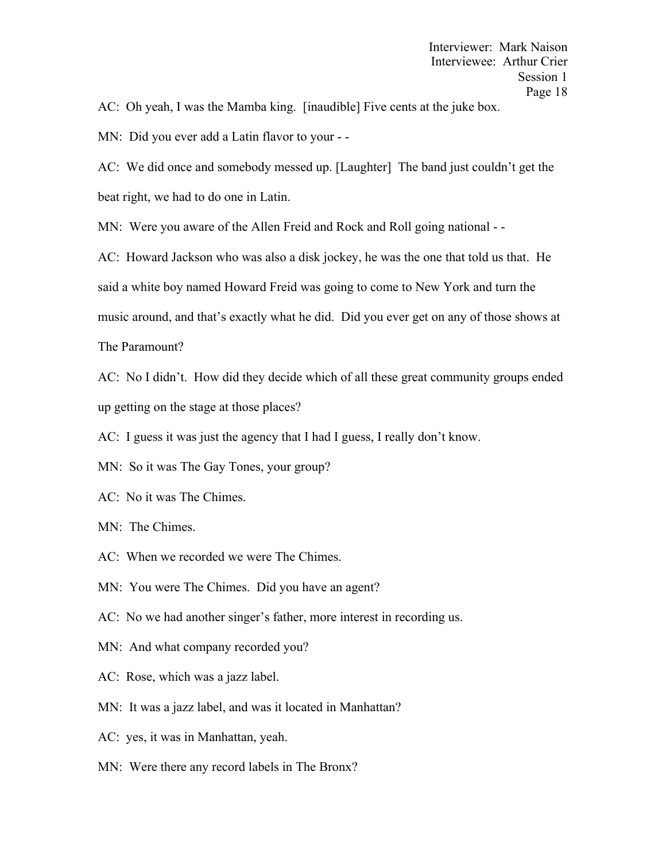AC: Oh yeah, I was the Mamba king. [inaudible] Five cents at the juke box.

MN: Did you ever add a Latin flavor to your - -

AC: We did once and somebody messed up. [Laughter] The band just couldn't get the beat right, we had to do one in Latin.

MN: Were you aware of the Allen Freid and Rock and Roll going national - -

AC: Howard Jackson who was also a disk jockey, he was the one that told us that. He said a white boy named Howard Freid was going to come to New York and turn the music around, and that's exactly what he did. Did you ever get on any of those shows at The Paramount?

AC: No I didn't. How did they decide which of all these great community groups ended up getting on the stage at those places?

AC: I guess it was just the agency that I had I guess, I really don't know.

MN: So it was The Gay Tones, your group?

- AC: No it was The Chimes.
- MN: The Chimes.
- AC: When we recorded we were The Chimes.
- MN: You were The Chimes. Did you have an agent?
- AC: No we had another singer's father, more interest in recording us.
- MN: And what company recorded you?
- AC: Rose, which was a jazz label.
- MN: It was a jazz label, and was it located in Manhattan?
- AC: yes, it was in Manhattan, yeah.
- MN: Were there any record labels in The Bronx?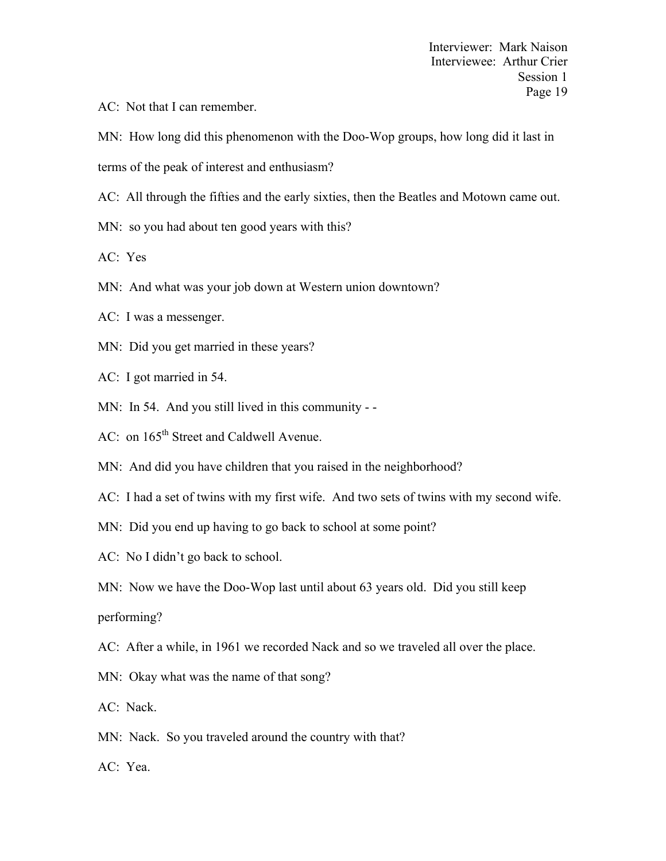AC: Not that I can remember.

MN: How long did this phenomenon with the Doo-Wop groups, how long did it last in

terms of the peak of interest and enthusiasm?

AC: All through the fifties and the early sixties, then the Beatles and Motown came out.

- MN: so you had about ten good years with this?
- AC: Yes
- MN: And what was your job down at Western union downtown?
- AC: I was a messenger.
- MN: Did you get married in these years?
- AC: I got married in 54.
- MN: In 54. And you still lived in this community -
- AC: on 165<sup>th</sup> Street and Caldwell Avenue.
- MN: And did you have children that you raised in the neighborhood?
- AC: I had a set of twins with my first wife. And two sets of twins with my second wife.
- MN: Did you end up having to go back to school at some point?
- AC: No I didn't go back to school.
- MN: Now we have the Doo-Wop last until about 63 years old. Did you still keep

performing?

- AC: After a while, in 1961 we recorded Nack and so we traveled all over the place.
- MN: Okay what was the name of that song?
- AC: Nack.
- MN: Nack. So you traveled around the country with that?
- AC: Yea.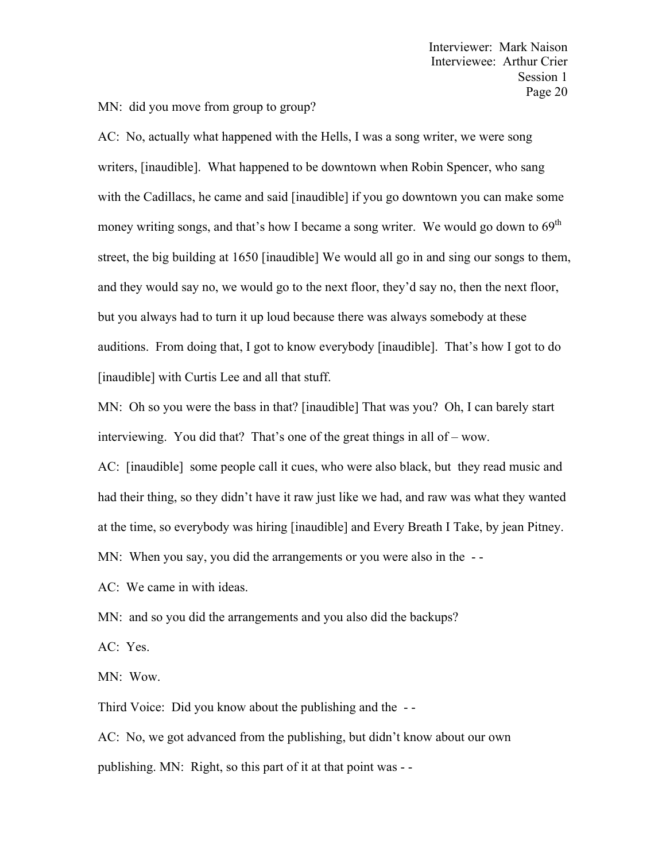MN: did you move from group to group?

AC: No, actually what happened with the Hells, I was a song writer, we were song writers, [inaudible]. What happened to be downtown when Robin Spencer, who sang with the Cadillacs, he came and said [inaudible] if you go downtown you can make some money writing songs, and that's how I became a song writer. We would go down to 69<sup>th</sup> street, the big building at 1650 [inaudible] We would all go in and sing our songs to them, and they would say no, we would go to the next floor, they'd say no, then the next floor, but you always had to turn it up loud because there was always somebody at these auditions. From doing that, I got to know everybody [inaudible]. That's how I got to do [inaudible] with Curtis Lee and all that stuff.

MN: Oh so you were the bass in that? [inaudible] That was you? Oh, I can barely start interviewing. You did that? That's one of the great things in all of – wow.

AC: [inaudible] some people call it cues, who were also black, but they read music and had their thing, so they didn't have it raw just like we had, and raw was what they wanted at the time, so everybody was hiring [inaudible] and Every Breath I Take, by jean Pitney.

MN: When you say, you did the arrangements or you were also in the --

AC: We came in with ideas.

MN: and so you did the arrangements and you also did the backups?

AC: Yes.

MN: Wow.

Third Voice: Did you know about the publishing and the - -

AC: No, we got advanced from the publishing, but didn't know about our own publishing. MN: Right, so this part of it at that point was - -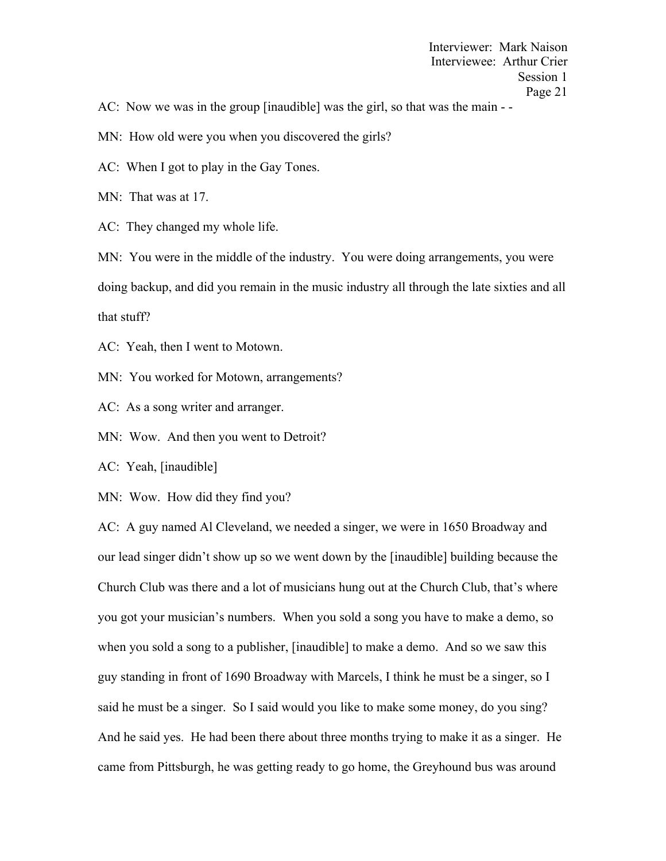AC: Now we was in the group [inaudible] was the girl, so that was the main - -

MN: How old were you when you discovered the girls?

AC: When I got to play in the Gay Tones.

MN: That was at 17.

AC: They changed my whole life.

MN: You were in the middle of the industry. You were doing arrangements, you were doing backup, and did you remain in the music industry all through the late sixties and all that stuff?

AC: Yeah, then I went to Motown.

MN: You worked for Motown, arrangements?

AC: As a song writer and arranger.

MN: Wow. And then you went to Detroit?

AC: Yeah, [inaudible]

MN: Wow. How did they find you?

AC: A guy named Al Cleveland, we needed a singer, we were in 1650 Broadway and our lead singer didn't show up so we went down by the [inaudible] building because the Church Club was there and a lot of musicians hung out at the Church Club, that's where you got your musician's numbers. When you sold a song you have to make a demo, so when you sold a song to a publisher, [inaudible] to make a demo. And so we saw this guy standing in front of 1690 Broadway with Marcels, I think he must be a singer, so I said he must be a singer. So I said would you like to make some money, do you sing? And he said yes. He had been there about three months trying to make it as a singer. He came from Pittsburgh, he was getting ready to go home, the Greyhound bus was around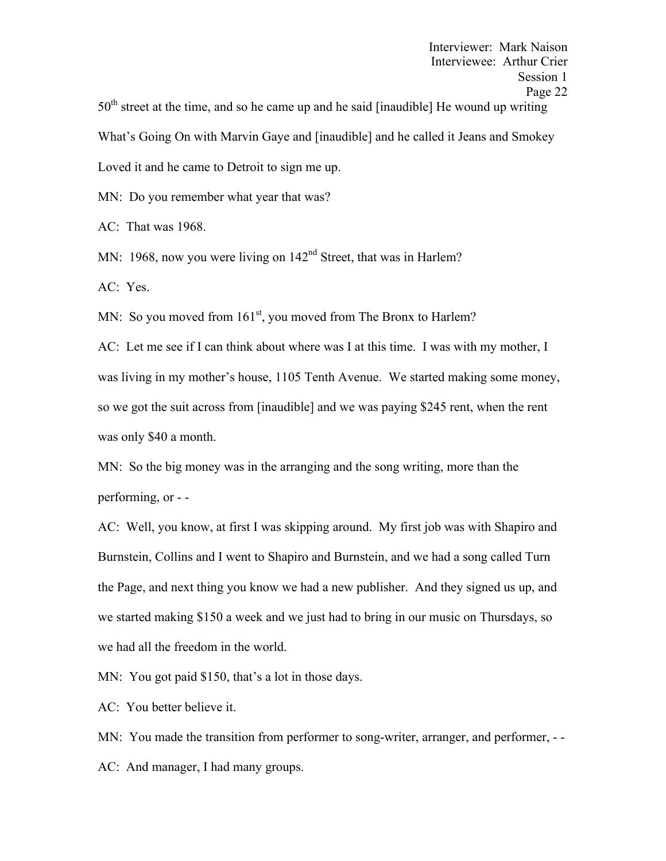$50<sup>th</sup>$  street at the time, and so he came up and he said [inaudible] He wound up writing What's Going On with Marvin Gaye and [inaudible] and he called it Jeans and Smokey Loved it and he came to Detroit to sign me up.

MN: Do you remember what year that was?

AC: That was 1968.

MN: 1968, now you were living on  $142<sup>nd</sup>$  Street, that was in Harlem?

AC: Yes.

MN: So you moved from  $161<sup>st</sup>$ , you moved from The Bronx to Harlem?

AC: Let me see if I can think about where was I at this time. I was with my mother, I was living in my mother's house, 1105 Tenth Avenue. We started making some money, so we got the suit across from [inaudible] and we was paying \$245 rent, when the rent was only \$40 a month.

MN: So the big money was in the arranging and the song writing, more than the performing, or - -

AC: Well, you know, at first I was skipping around. My first job was with Shapiro and Burnstein, Collins and I went to Shapiro and Burnstein, and we had a song called Turn the Page, and next thing you know we had a new publisher. And they signed us up, and we started making \$150 a week and we just had to bring in our music on Thursdays, so we had all the freedom in the world.

MN: You got paid \$150, that's a lot in those days.

AC: You better believe it.

MN: You made the transition from performer to song-writer, arranger, and performer, --AC: And manager, I had many groups.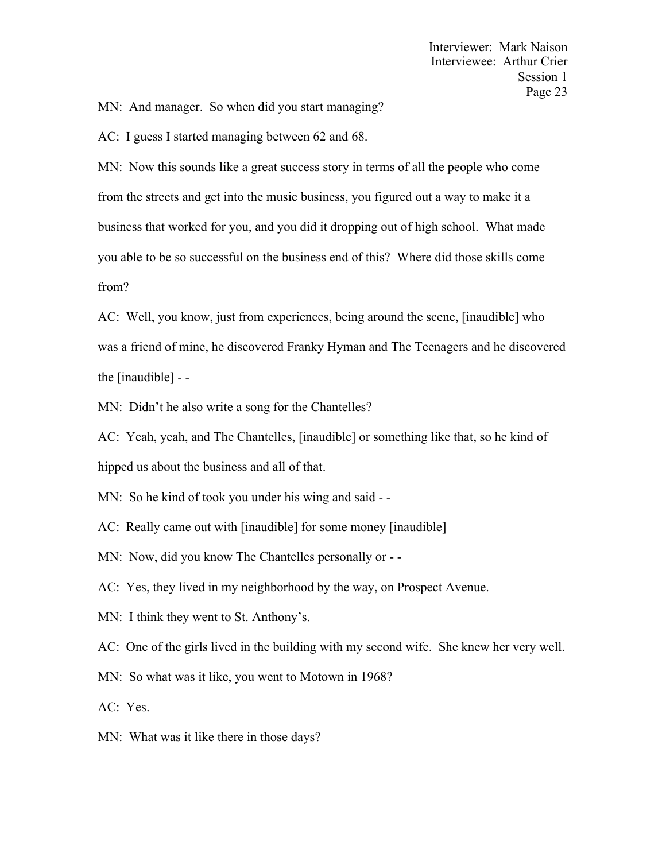MN: And manager. So when did you start managing?

AC: I guess I started managing between 62 and 68.

MN: Now this sounds like a great success story in terms of all the people who come from the streets and get into the music business, you figured out a way to make it a business that worked for you, and you did it dropping out of high school. What made you able to be so successful on the business end of this? Where did those skills come from?

AC: Well, you know, just from experiences, being around the scene, [inaudible] who was a friend of mine, he discovered Franky Hyman and The Teenagers and he discovered the [inaudible] - -

MN: Didn't he also write a song for the Chantelles?

AC: Yeah, yeah, and The Chantelles, [inaudible] or something like that, so he kind of hipped us about the business and all of that.

MN: So he kind of took you under his wing and said - -

AC: Really came out with [inaudible] for some money [inaudible]

MN: Now, did you know The Chantelles personally or - -

AC: Yes, they lived in my neighborhood by the way, on Prospect Avenue.

MN: I think they went to St. Anthony's.

AC: One of the girls lived in the building with my second wife. She knew her very well.

MN: So what was it like, you went to Motown in 1968?

AC: Yes.

MN: What was it like there in those days?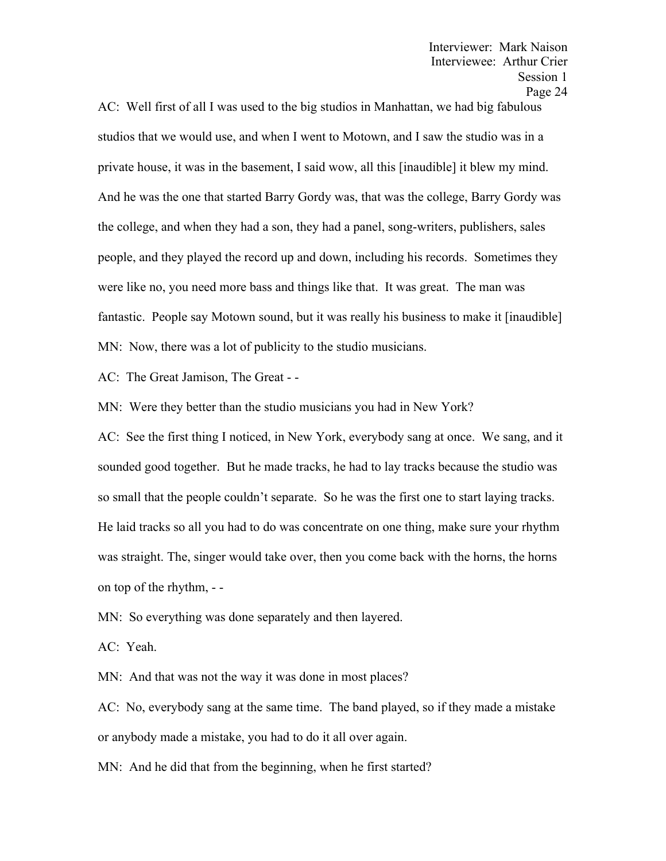AC: Well first of all I was used to the big studios in Manhattan, we had big fabulous studios that we would use, and when I went to Motown, and I saw the studio was in a private house, it was in the basement, I said wow, all this [inaudible] it blew my mind. And he was the one that started Barry Gordy was, that was the college, Barry Gordy was the college, and when they had a son, they had a panel, song-writers, publishers, sales people, and they played the record up and down, including his records. Sometimes they were like no, you need more bass and things like that. It was great. The man was fantastic. People say Motown sound, but it was really his business to make it [inaudible] MN: Now, there was a lot of publicity to the studio musicians.

AC: The Great Jamison, The Great - -

MN: Were they better than the studio musicians you had in New York?

AC: See the first thing I noticed, in New York, everybody sang at once. We sang, and it sounded good together. But he made tracks, he had to lay tracks because the studio was so small that the people couldn't separate. So he was the first one to start laying tracks. He laid tracks so all you had to do was concentrate on one thing, make sure your rhythm was straight. The, singer would take over, then you come back with the horns, the horns on top of the rhythm, - -

MN: So everything was done separately and then layered.

AC: Yeah.

MN: And that was not the way it was done in most places?

AC: No, everybody sang at the same time. The band played, so if they made a mistake or anybody made a mistake, you had to do it all over again.

MN: And he did that from the beginning, when he first started?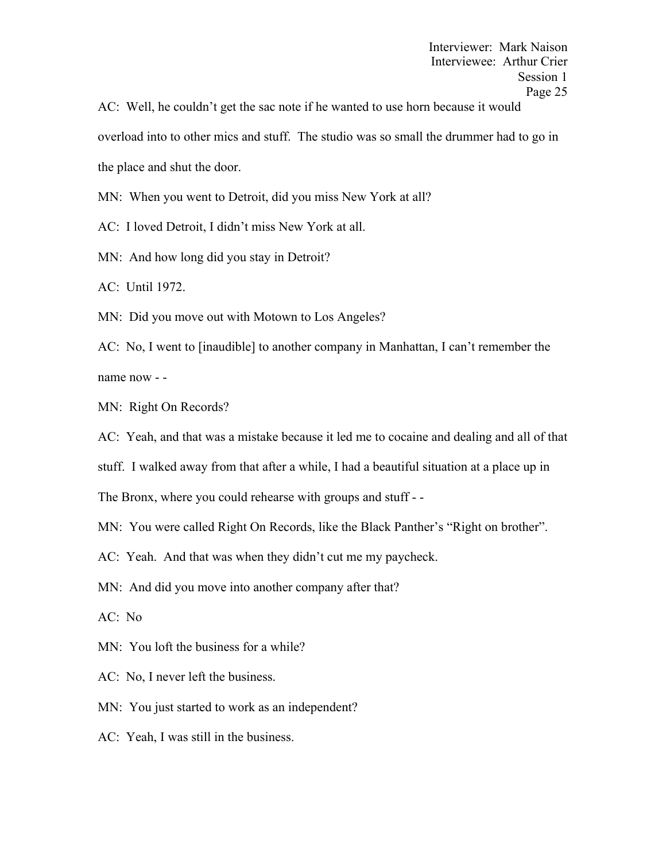AC: Well, he couldn't get the sac note if he wanted to use horn because it would overload into to other mics and stuff. The studio was so small the drummer had to go in the place and shut the door.

MN: When you went to Detroit, did you miss New York at all?

AC: I loved Detroit, I didn't miss New York at all.

MN: And how long did you stay in Detroit?

AC: Until 1972.

MN: Did you move out with Motown to Los Angeles?

AC: No, I went to [inaudible] to another company in Manhattan, I can't remember the name now - -

MN: Right On Records?

AC: Yeah, and that was a mistake because it led me to cocaine and dealing and all of that

stuff. I walked away from that after a while, I had a beautiful situation at a place up in

The Bronx, where you could rehearse with groups and stuff - -

MN: You were called Right On Records, like the Black Panther's "Right on brother".

AC: Yeah. And that was when they didn't cut me my paycheck.

MN: And did you move into another company after that?

AC: No

MN: You loft the business for a while?

AC: No, I never left the business.

MN: You just started to work as an independent?

AC: Yeah, I was still in the business.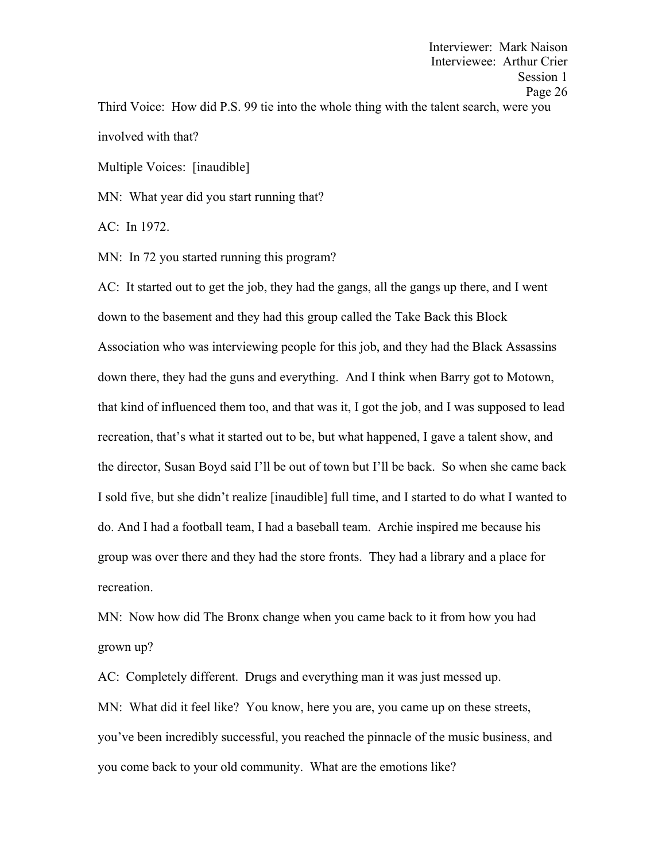Interviewee: Arthur Crier Session 1 Page 26 Third Voice: How did P.S. 99 tie into the whole thing with the talent search, were you involved with that?

Interviewer: Mark Naison

Multiple Voices: [inaudible]

MN: What year did you start running that?

AC: In 1972.

MN: In 72 you started running this program?

AC: It started out to get the job, they had the gangs, all the gangs up there, and I went down to the basement and they had this group called the Take Back this Block Association who was interviewing people for this job, and they had the Black Assassins down there, they had the guns and everything. And I think when Barry got to Motown, that kind of influenced them too, and that was it, I got the job, and I was supposed to lead recreation, that's what it started out to be, but what happened, I gave a talent show, and the director, Susan Boyd said I'll be out of town but I'll be back. So when she came back I sold five, but she didn't realize [inaudible] full time, and I started to do what I wanted to do. And I had a football team, I had a baseball team. Archie inspired me because his group was over there and they had the store fronts. They had a library and a place for recreation.

MN: Now how did The Bronx change when you came back to it from how you had grown up?

AC: Completely different. Drugs and everything man it was just messed up. MN: What did it feel like? You know, here you are, you came up on these streets, you've been incredibly successful, you reached the pinnacle of the music business, and you come back to your old community. What are the emotions like?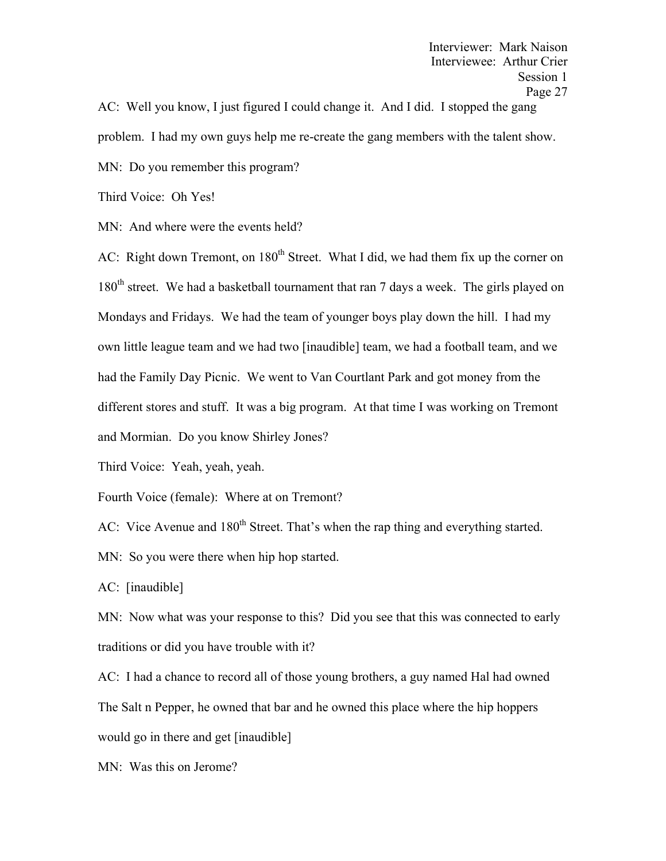AC: Well you know, I just figured I could change it. And I did. I stopped the gang problem. I had my own guys help me re-create the gang members with the talent show. MN: Do you remember this program?

Third Voice: Oh Yes!

MN: And where were the events held?

AC: Right down Tremont, on  $180<sup>th</sup>$  Street. What I did, we had them fix up the corner on 180<sup>th</sup> street. We had a basketball tournament that ran 7 days a week. The girls played on Mondays and Fridays. We had the team of younger boys play down the hill. I had my own little league team and we had two [inaudible] team, we had a football team, and we had the Family Day Picnic. We went to Van Courtlant Park and got money from the different stores and stuff. It was a big program. At that time I was working on Tremont and Mormian. Do you know Shirley Jones?

Third Voice: Yeah, yeah, yeah.

Fourth Voice (female): Where at on Tremont?

AC: Vice Avenue and 180<sup>th</sup> Street. That's when the rap thing and everything started.

MN: So you were there when hip hop started.

AC: [inaudible]

MN: Now what was your response to this? Did you see that this was connected to early traditions or did you have trouble with it?

AC: I had a chance to record all of those young brothers, a guy named Hal had owned The Salt n Pepper, he owned that bar and he owned this place where the hip hoppers would go in there and get [inaudible]

MN: Was this on Jerome?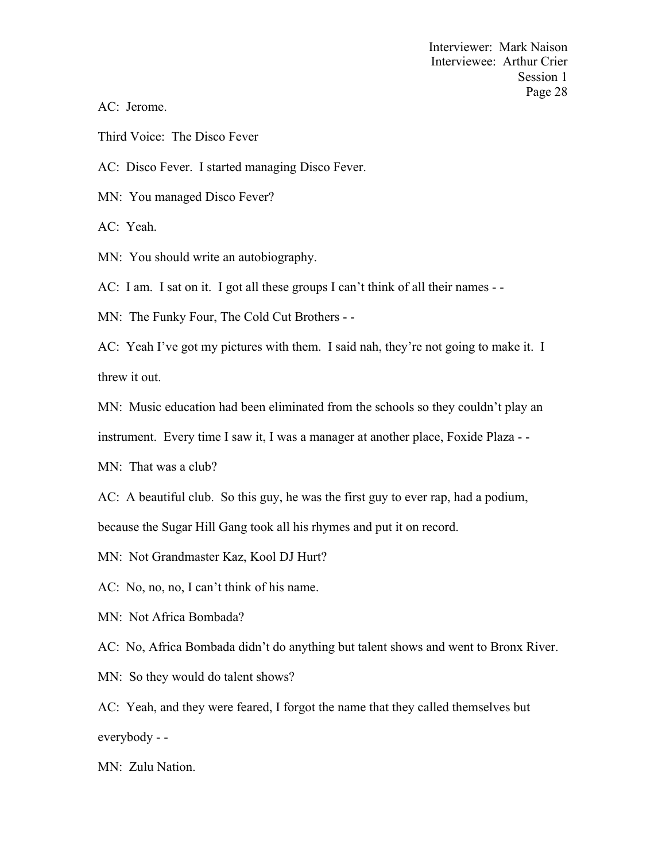AC: Jerome.

Third Voice: The Disco Fever

AC: Disco Fever. I started managing Disco Fever.

MN: You managed Disco Fever?

AC: Yeah.

MN: You should write an autobiography.

AC: I am. I sat on it. I got all these groups I can't think of all their names - -

MN: The Funky Four, The Cold Cut Brothers - -

AC: Yeah I've got my pictures with them. I said nah, they're not going to make it. I threw it out.

MN: Music education had been eliminated from the schools so they couldn't play an

instrument. Every time I saw it, I was a manager at another place, Foxide Plaza - -

MN: That was a club?

AC: A beautiful club. So this guy, he was the first guy to ever rap, had a podium,

because the Sugar Hill Gang took all his rhymes and put it on record.

MN: Not Grandmaster Kaz, Kool DJ Hurt?

AC: No, no, no, I can't think of his name.

MN: Not Africa Bombada?

AC: No, Africa Bombada didn't do anything but talent shows and went to Bronx River.

MN: So they would do talent shows?

AC: Yeah, and they were feared, I forgot the name that they called themselves but everybody - -

MN: Zulu Nation.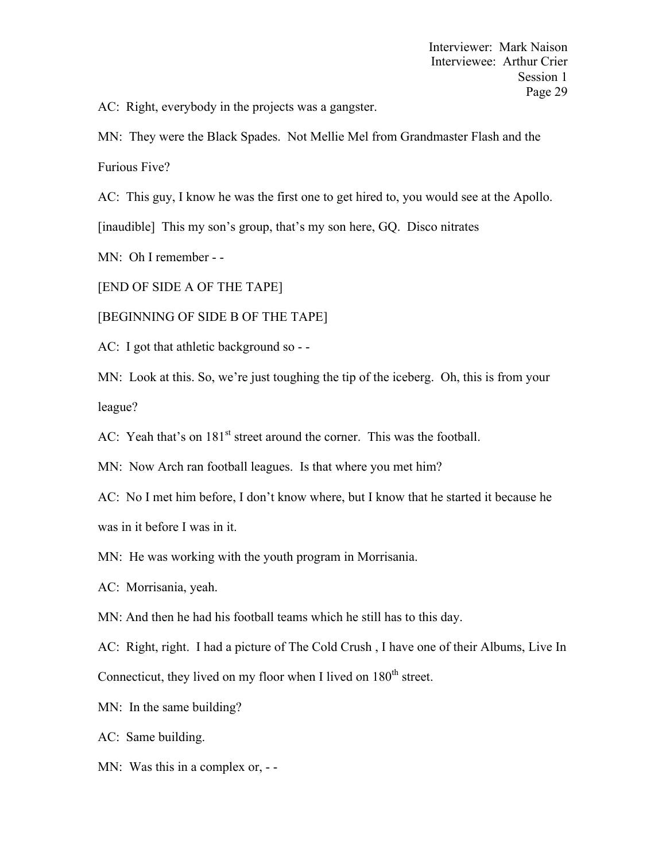AC: Right, everybody in the projects was a gangster.

MN: They were the Black Spades. Not Mellie Mel from Grandmaster Flash and the Furious Five?

AC: This guy, I know he was the first one to get hired to, you would see at the Apollo.

[inaudible] This my son's group, that's my son here, GQ. Disco nitrates

MN: Oh I remember - -

[END OF SIDE A OF THE TAPE]

[BEGINNING OF SIDE B OF THE TAPE]

AC: I got that athletic background so - -

MN: Look at this. So, we're just toughing the tip of the iceberg. Oh, this is from your league?

AC: Yeah that's on 181<sup>st</sup> street around the corner. This was the football.

MN: Now Arch ran football leagues. Is that where you met him?

AC: No I met him before, I don't know where, but I know that he started it because he was in it before I was in it.

MN: He was working with the youth program in Morrisania.

AC: Morrisania, yeah.

MN: And then he had his football teams which he still has to this day.

AC: Right, right. I had a picture of The Cold Crush , I have one of their Albums, Live In Connecticut, they lived on my floor when I lived on  $180<sup>th</sup>$  street.

MN: In the same building?

AC: Same building.

MN: Was this in a complex or, --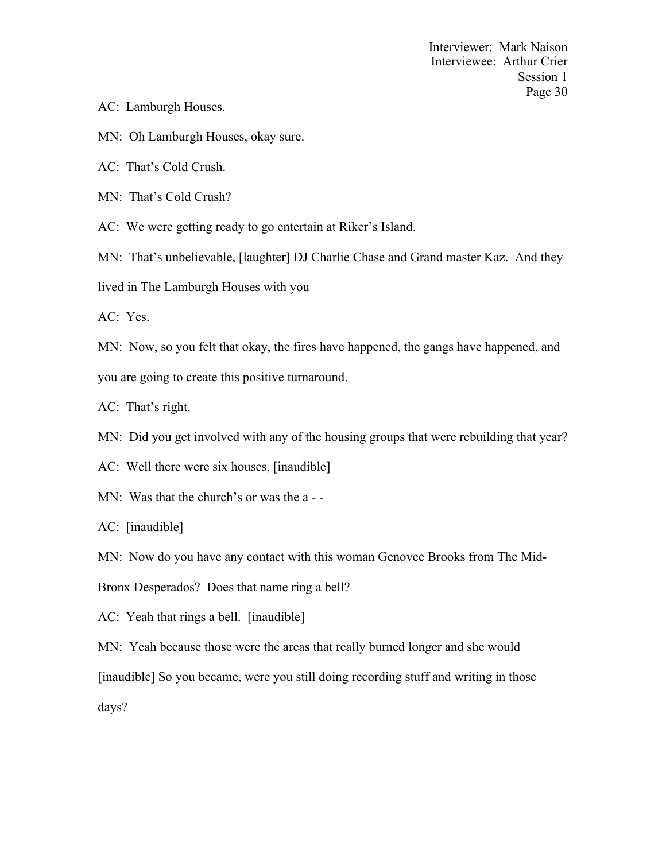- AC: Lamburgh Houses.
- MN: Oh Lamburgh Houses, okay sure.
- AC: That's Cold Crush.
- MN: That's Cold Crush?
- AC: We were getting ready to go entertain at Riker's Island.
- MN: That's unbelievable, [laughter] DJ Charlie Chase and Grand master Kaz. And they
- lived in The Lamburgh Houses with you

AC: Yes.

MN: Now, so you felt that okay, the fires have happened, the gangs have happened, and you are going to create this positive turnaround.

- AC: That's right.
- MN: Did you get involved with any of the housing groups that were rebuilding that year?
- AC: Well there were six houses, [inaudible]
- MN: Was that the church's or was the a -
- AC: [inaudible]
- MN: Now do you have any contact with this woman Genovee Brooks from The Mid-
- Bronx Desperados? Does that name ring a bell?
- AC: Yeah that rings a bell. [inaudible]
- MN: Yeah because those were the areas that really burned longer and she would

[inaudible] So you became, were you still doing recording stuff and writing in those

days?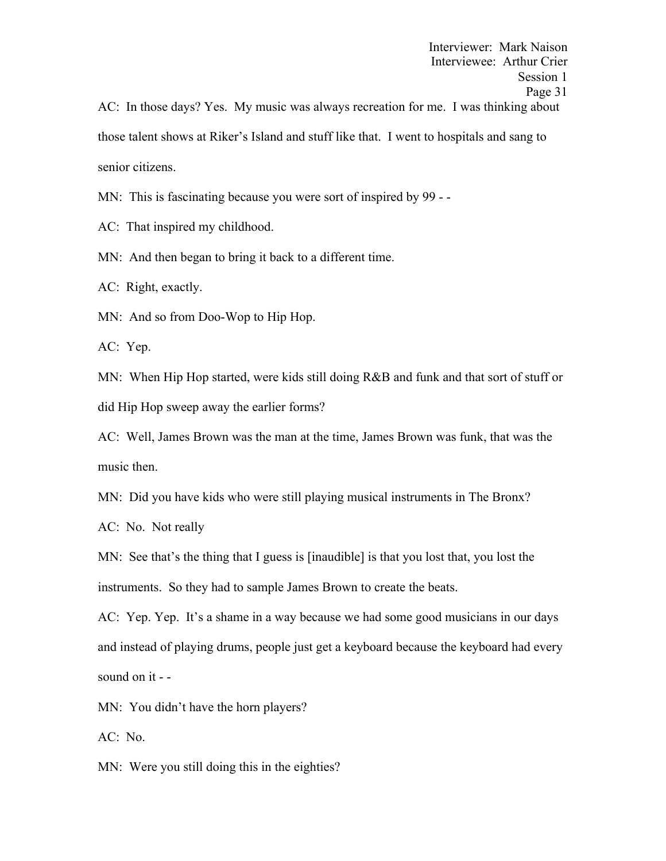Interviewer: Mark Naison Interviewee: Arthur Crier Session 1 Page 31 AC: In those days? Yes. My music was always recreation for me. I was thinking about those talent shows at Riker's Island and stuff like that. I went to hospitals and sang to senior citizens.

MN: This is fascinating because you were sort of inspired by 99 - -

AC: That inspired my childhood.

MN: And then began to bring it back to a different time.

AC: Right, exactly.

MN: And so from Doo-Wop to Hip Hop.

AC: Yep.

MN: When Hip Hop started, were kids still doing R&B and funk and that sort of stuff or did Hip Hop sweep away the earlier forms?

AC: Well, James Brown was the man at the time, James Brown was funk, that was the music then.

MN: Did you have kids who were still playing musical instruments in The Bronx?

AC: No. Not really

MN: See that's the thing that I guess is [inaudible] is that you lost that, you lost the instruments. So they had to sample James Brown to create the beats.

AC: Yep. Yep. It's a shame in a way because we had some good musicians in our days and instead of playing drums, people just get a keyboard because the keyboard had every sound on it - -

MN: You didn't have the horn players?

AC: No.

MN: Were you still doing this in the eighties?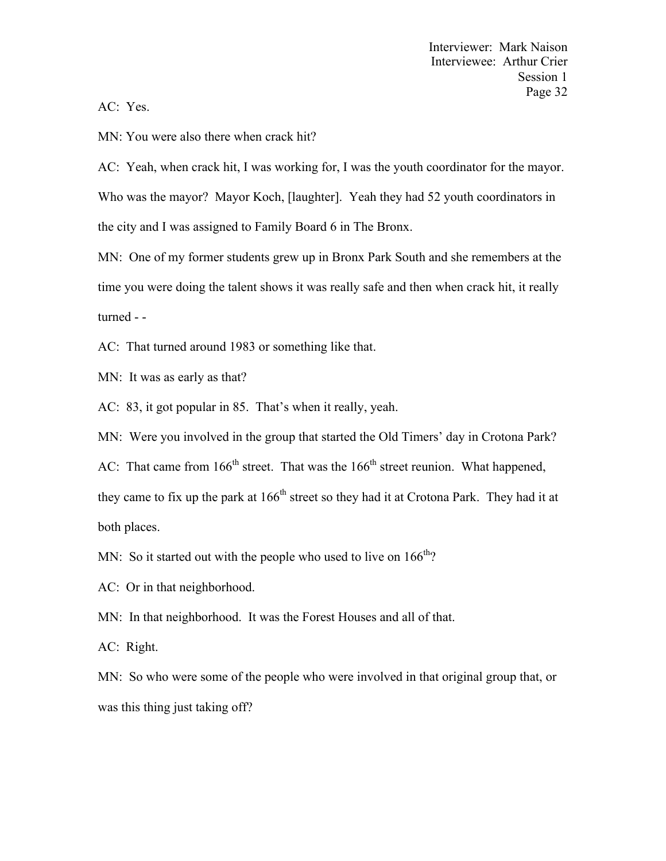AC: Yes.

MN: You were also there when crack hit?

AC: Yeah, when crack hit, I was working for, I was the youth coordinator for the mayor. Who was the mayor? Mayor Koch, [laughter]. Yeah they had 52 youth coordinators in the city and I was assigned to Family Board 6 in The Bronx.

MN: One of my former students grew up in Bronx Park South and she remembers at the time you were doing the talent shows it was really safe and then when crack hit, it really turned - -

AC: That turned around 1983 or something like that.

MN: It was as early as that?

AC: 83, it got popular in 85. That's when it really, yeah.

MN: Were you involved in the group that started the Old Timers' day in Crotona Park?

AC: That came from  $166<sup>th</sup>$  street. That was the  $166<sup>th</sup>$  street reunion. What happened,

they came to fix up the park at  $166<sup>th</sup>$  street so they had it at Crotona Park. They had it at both places.

MN: So it started out with the people who used to live on  $166^{th}$ ?

AC: Or in that neighborhood.

MN: In that neighborhood. It was the Forest Houses and all of that.

AC: Right.

MN: So who were some of the people who were involved in that original group that, or was this thing just taking off?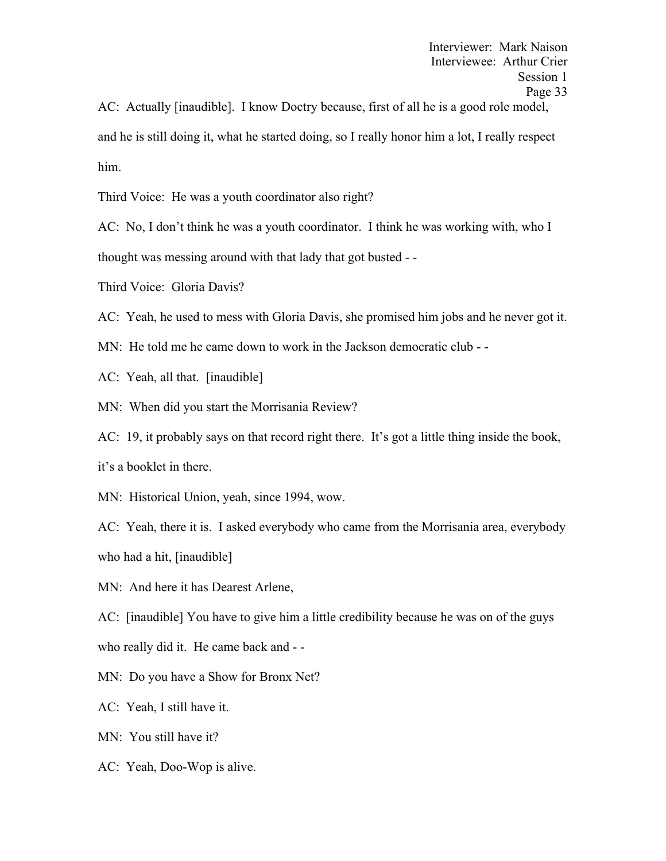AC: Actually [inaudible]. I know Doctry because, first of all he is a good role model, and he is still doing it, what he started doing, so I really honor him a lot, I really respect him.

Third Voice: He was a youth coordinator also right?

AC: No, I don't think he was a youth coordinator. I think he was working with, who I thought was messing around with that lady that got busted - -

Third Voice: Gloria Davis?

AC: Yeah, he used to mess with Gloria Davis, she promised him jobs and he never got it.

- MN: He told me he came down to work in the Jackson democratic club -
- AC: Yeah, all that. [inaudible]
- MN: When did you start the Morrisania Review?

AC: 19, it probably says on that record right there. It's got a little thing inside the book, it's a booklet in there.

MN: Historical Union, yeah, since 1994, wow.

AC: Yeah, there it is. I asked everybody who came from the Morrisania area, everybody who had a hit, [inaudible]

MN: And here it has Dearest Arlene,

AC: [inaudible] You have to give him a little credibility because he was on of the guys

who really did it. He came back and - -

- MN: Do you have a Show for Bronx Net?
- AC: Yeah, I still have it.
- MN: You still have it?
- AC: Yeah, Doo-Wop is alive.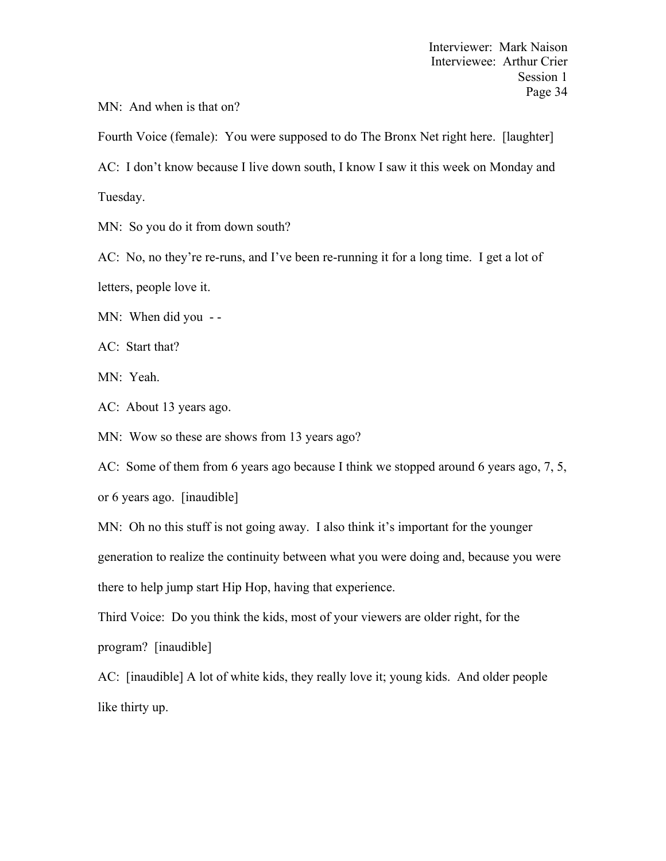MN: And when is that on?

Fourth Voice (female): You were supposed to do The Bronx Net right here. [laughter] AC: I don't know because I live down south, I know I saw it this week on Monday and Tuesday.

MN: So you do it from down south?

AC: No, no they're re-runs, and I've been re-running it for a long time. I get a lot of letters, people love it.

MN: When did you --

AC: Start that?

MN: Yeah.

AC: About 13 years ago.

MN: Wow so these are shows from 13 years ago?

AC: Some of them from 6 years ago because I think we stopped around 6 years ago, 7, 5,

or 6 years ago. [inaudible]

MN: Oh no this stuff is not going away. I also think it's important for the younger generation to realize the continuity between what you were doing and, because you were there to help jump start Hip Hop, having that experience.

Third Voice: Do you think the kids, most of your viewers are older right, for the program? [inaudible]

AC: [inaudible] A lot of white kids, they really love it; young kids. And older people like thirty up.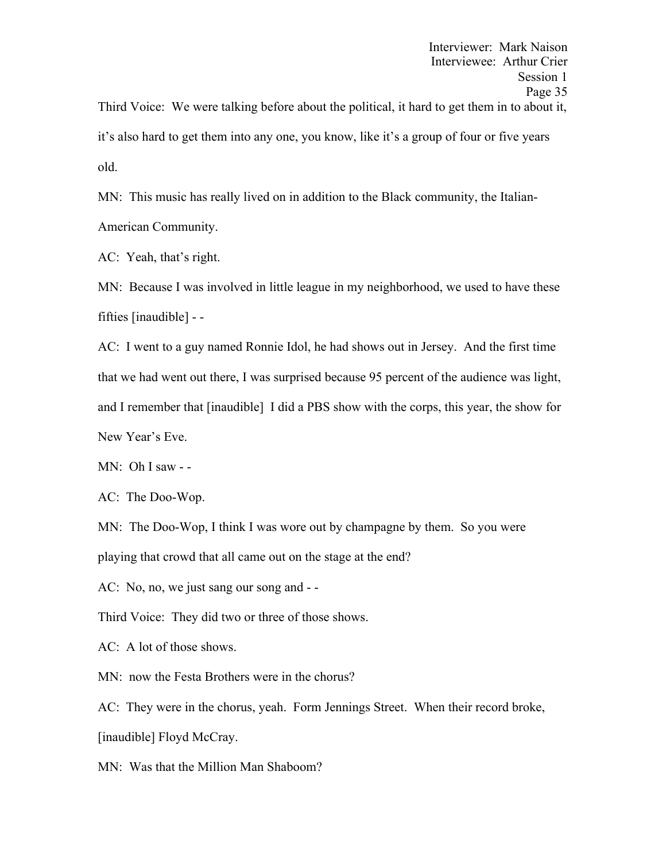it's also hard to get them into any one, you know, like it's a group of four or five years old.

MN: This music has really lived on in addition to the Black community, the Italian-American Community.

AC: Yeah, that's right.

MN: Because I was involved in little league in my neighborhood, we used to have these fifties [inaudible] - -

AC: I went to a guy named Ronnie Idol, he had shows out in Jersey. And the first time that we had went out there, I was surprised because 95 percent of the audience was light, and I remember that [inaudible] I did a PBS show with the corps, this year, the show for New Year's Eve.

MN: Oh I saw - -

AC: The Doo-Wop.

MN: The Doo-Wop, I think I was wore out by champagne by them. So you were playing that crowd that all came out on the stage at the end?

AC: No, no, we just sang our song and - -

Third Voice: They did two or three of those shows.

AC: A lot of those shows.

MN: now the Festa Brothers were in the chorus?

AC: They were in the chorus, yeah. Form Jennings Street. When their record broke, [inaudible] Floyd McCray.

MN: Was that the Million Man Shaboom?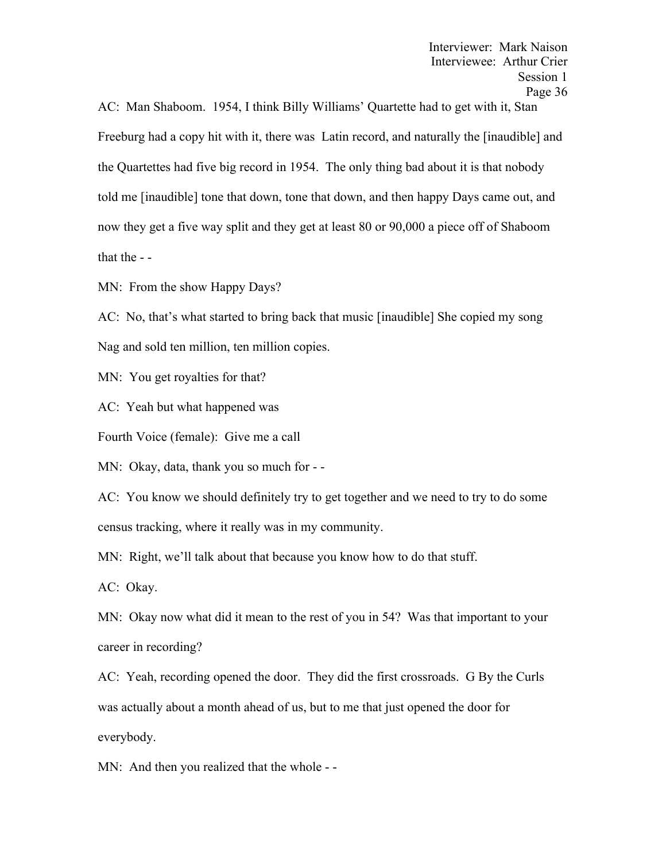AC: Man Shaboom. 1954, I think Billy Williams' Quartette had to get with it, Stan Freeburg had a copy hit with it, there was Latin record, and naturally the [inaudible] and the Quartettes had five big record in 1954. The only thing bad about it is that nobody told me [inaudible] tone that down, tone that down, and then happy Days came out, and now they get a five way split and they get at least 80 or 90,000 a piece off of Shaboom that the - -

MN: From the show Happy Days?

AC: No, that's what started to bring back that music [inaudible] She copied my song Nag and sold ten million, ten million copies.

MN: You get royalties for that?

AC: Yeah but what happened was

Fourth Voice (female): Give me a call

MN: Okay, data, thank you so much for - -

AC: You know we should definitely try to get together and we need to try to do some census tracking, where it really was in my community.

MN: Right, we'll talk about that because you know how to do that stuff.

AC: Okay.

MN: Okay now what did it mean to the rest of you in 54? Was that important to your career in recording?

AC: Yeah, recording opened the door. They did the first crossroads. G By the Curls was actually about a month ahead of us, but to me that just opened the door for everybody.

MN: And then you realized that the whole - -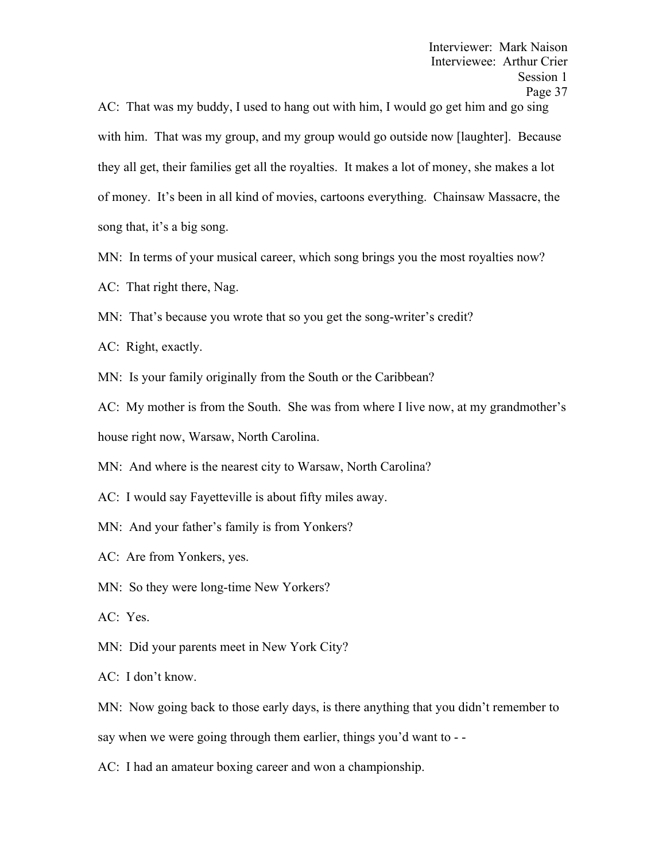AC: That was my buddy, I used to hang out with him, I would go get him and go sing with him. That was my group, and my group would go outside now [laughter]. Because they all get, their families get all the royalties. It makes a lot of money, she makes a lot of money. It's been in all kind of movies, cartoons everything. Chainsaw Massacre, the song that, it's a big song.

MN: In terms of your musical career, which song brings you the most royalties now?

AC: That right there, Nag.

MN: That's because you wrote that so you get the song-writer's credit?

AC: Right, exactly.

MN: Is your family originally from the South or the Caribbean?

AC: My mother is from the South. She was from where I live now, at my grandmother's house right now, Warsaw, North Carolina.

MN: And where is the nearest city to Warsaw, North Carolina?

AC: I would say Fayetteville is about fifty miles away.

MN: And your father's family is from Yonkers?

AC: Are from Yonkers, yes.

MN: So they were long-time New Yorkers?

AC: Yes.

MN: Did your parents meet in New York City?

AC: I don't know.

MN: Now going back to those early days, is there anything that you didn't remember to

say when we were going through them earlier, things you'd want to - -

AC: I had an amateur boxing career and won a championship.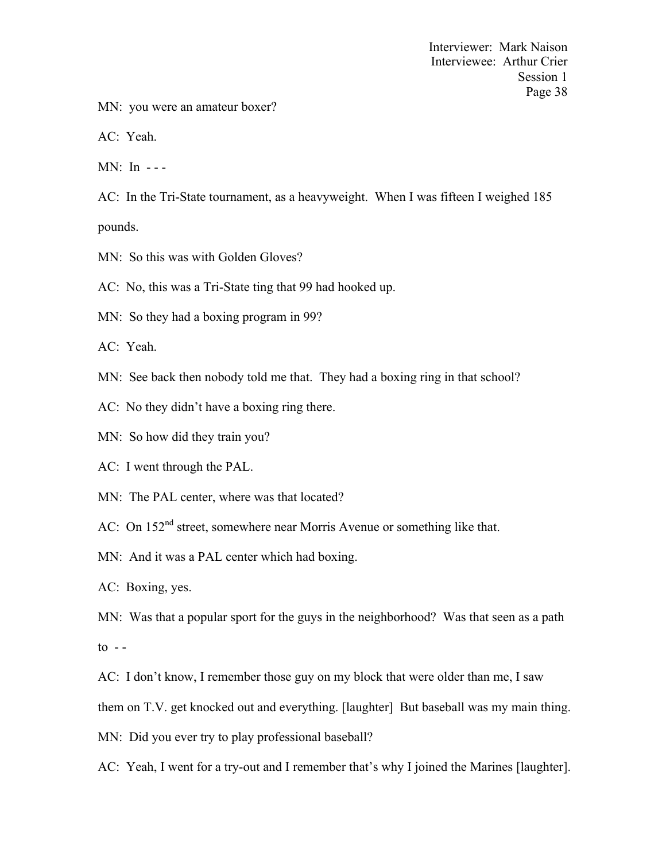MN: you were an amateur boxer?

AC: Yeah.

MN: In - - -

AC: In the Tri-State tournament, as a heavyweight. When I was fifteen I weighed 185 pounds.

MN: So this was with Golden Gloves?

AC: No, this was a Tri-State ting that 99 had hooked up.

MN: So they had a boxing program in 99?

AC: Yeah.

- MN: See back then nobody told me that. They had a boxing ring in that school?
- AC: No they didn't have a boxing ring there.
- MN: So how did they train you?

AC: I went through the PAL.

MN: The PAL center, where was that located?

AC: On 152<sup>nd</sup> street, somewhere near Morris Avenue or something like that.

MN: And it was a PAL center which had boxing.

AC: Boxing, yes.

MN: Was that a popular sport for the guys in the neighborhood? Was that seen as a path  $\frac{1}{\sqrt{1}}$ 

AC: I don't know, I remember those guy on my block that were older than me, I saw

them on T.V. get knocked out and everything. [laughter] But baseball was my main thing.

MN: Did you ever try to play professional baseball?

AC: Yeah, I went for a try-out and I remember that's why I joined the Marines [laughter].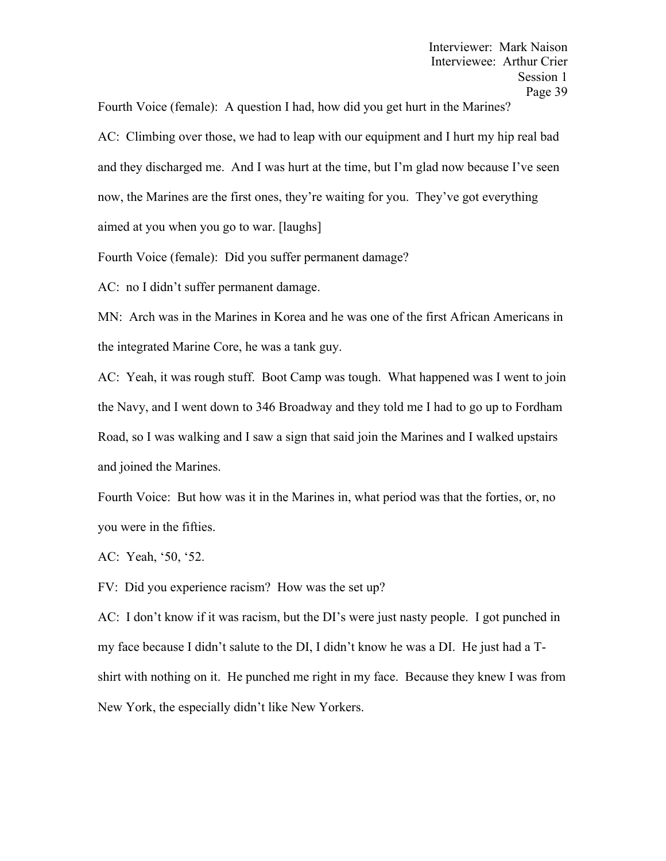Fourth Voice (female): A question I had, how did you get hurt in the Marines?

AC: Climbing over those, we had to leap with our equipment and I hurt my hip real bad and they discharged me. And I was hurt at the time, but I'm glad now because I've seen now, the Marines are the first ones, they're waiting for you. They've got everything aimed at you when you go to war. [laughs]

Fourth Voice (female): Did you suffer permanent damage?

AC: no I didn't suffer permanent damage.

MN: Arch was in the Marines in Korea and he was one of the first African Americans in the integrated Marine Core, he was a tank guy.

AC: Yeah, it was rough stuff. Boot Camp was tough. What happened was I went to join the Navy, and I went down to 346 Broadway and they told me I had to go up to Fordham Road, so I was walking and I saw a sign that said join the Marines and I walked upstairs and joined the Marines.

Fourth Voice: But how was it in the Marines in, what period was that the forties, or, no you were in the fifties.

AC: Yeah, '50, '52.

FV: Did you experience racism? How was the set up?

AC: I don't know if it was racism, but the DI's were just nasty people. I got punched in my face because I didn't salute to the DI, I didn't know he was a DI. He just had a Tshirt with nothing on it. He punched me right in my face. Because they knew I was from New York, the especially didn't like New Yorkers.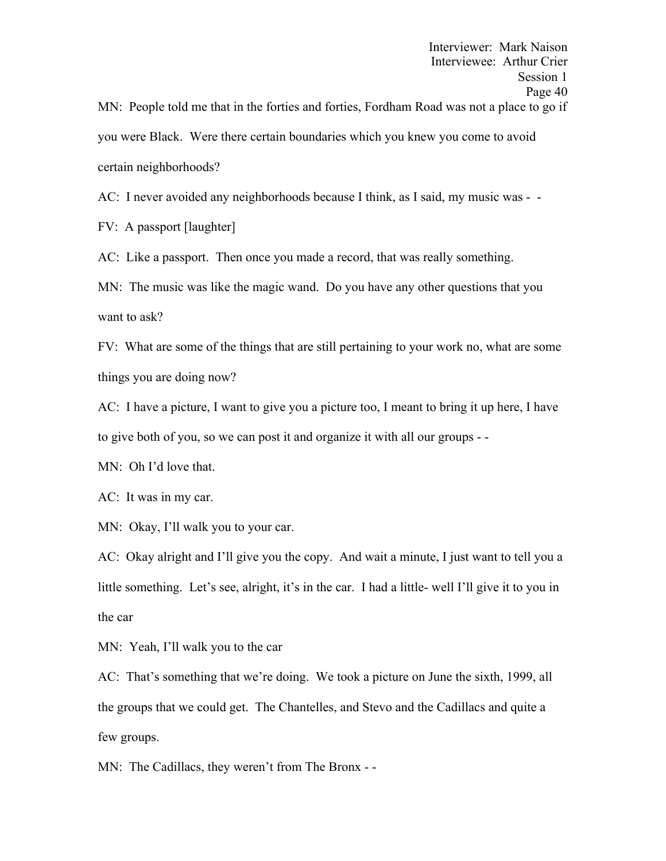certain neighborhoods?

AC: I never avoided any neighborhoods because I think, as I said, my music was - -

FV: A passport [laughter]

AC: Like a passport. Then once you made a record, that was really something.

MN: The music was like the magic wand. Do you have any other questions that you want to ask?

FV: What are some of the things that are still pertaining to your work no, what are some things you are doing now?

AC: I have a picture, I want to give you a picture too, I meant to bring it up here, I have to give both of you, so we can post it and organize it with all our groups - -

MN: Oh I'd love that.

AC: It was in my car.

MN: Okay, I'll walk you to your car.

AC: Okay alright and I'll give you the copy. And wait a minute, I just want to tell you a little something. Let's see, alright, it's in the car. I had a little- well I'll give it to you in the car

MN: Yeah, I'll walk you to the car

AC: That's something that we're doing. We took a picture on June the sixth, 1999, all the groups that we could get. The Chantelles, and Stevo and the Cadillacs and quite a few groups.

MN: The Cadillacs, they weren't from The Bronx - -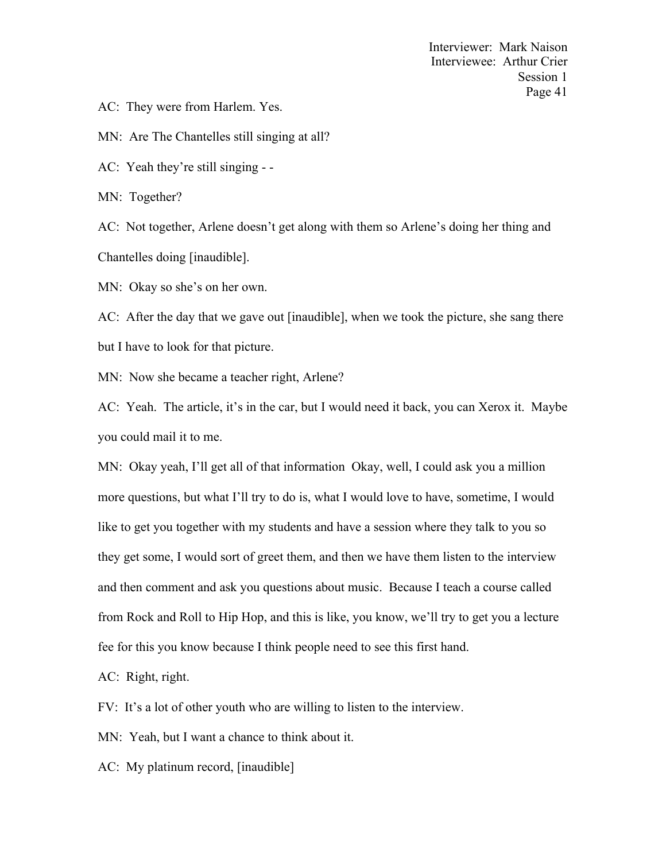AC: They were from Harlem. Yes.

MN: Are The Chantelles still singing at all?

AC: Yeah they're still singing - -

MN: Together?

AC: Not together, Arlene doesn't get along with them so Arlene's doing her thing and Chantelles doing [inaudible].

MN: Okay so she's on her own.

AC: After the day that we gave out [inaudible], when we took the picture, she sang there but I have to look for that picture.

MN: Now she became a teacher right, Arlene?

AC: Yeah. The article, it's in the car, but I would need it back, you can Xerox it. Maybe you could mail it to me.

MN: Okay yeah, I'll get all of that information Okay, well, I could ask you a million more questions, but what I'll try to do is, what I would love to have, sometime, I would like to get you together with my students and have a session where they talk to you so they get some, I would sort of greet them, and then we have them listen to the interview and then comment and ask you questions about music. Because I teach a course called from Rock and Roll to Hip Hop, and this is like, you know, we'll try to get you a lecture fee for this you know because I think people need to see this first hand.

AC: Right, right.

FV: It's a lot of other youth who are willing to listen to the interview.

MN: Yeah, but I want a chance to think about it.

AC: My platinum record, [inaudible]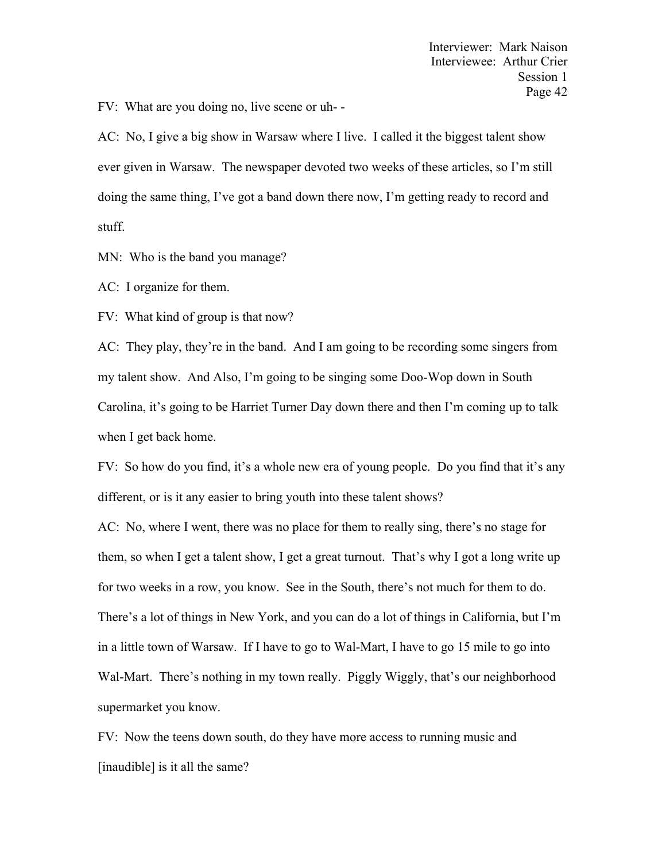FV: What are you doing no, live scene or uh- -

AC: No, I give a big show in Warsaw where I live. I called it the biggest talent show ever given in Warsaw. The newspaper devoted two weeks of these articles, so I'm still doing the same thing, I've got a band down there now, I'm getting ready to record and stuff.

MN: Who is the band you manage?

AC: I organize for them.

FV: What kind of group is that now?

AC: They play, they're in the band. And I am going to be recording some singers from my talent show. And Also, I'm going to be singing some Doo-Wop down in South Carolina, it's going to be Harriet Turner Day down there and then I'm coming up to talk when I get back home.

FV: So how do you find, it's a whole new era of young people. Do you find that it's any different, or is it any easier to bring youth into these talent shows?

AC: No, where I went, there was no place for them to really sing, there's no stage for them, so when I get a talent show, I get a great turnout. That's why I got a long write up for two weeks in a row, you know. See in the South, there's not much for them to do. There's a lot of things in New York, and you can do a lot of things in California, but I'm in a little town of Warsaw. If I have to go to Wal-Mart, I have to go 15 mile to go into Wal-Mart. There's nothing in my town really. Piggly Wiggly, that's our neighborhood supermarket you know.

FV: Now the teens down south, do they have more access to running music and [inaudible] is it all the same?